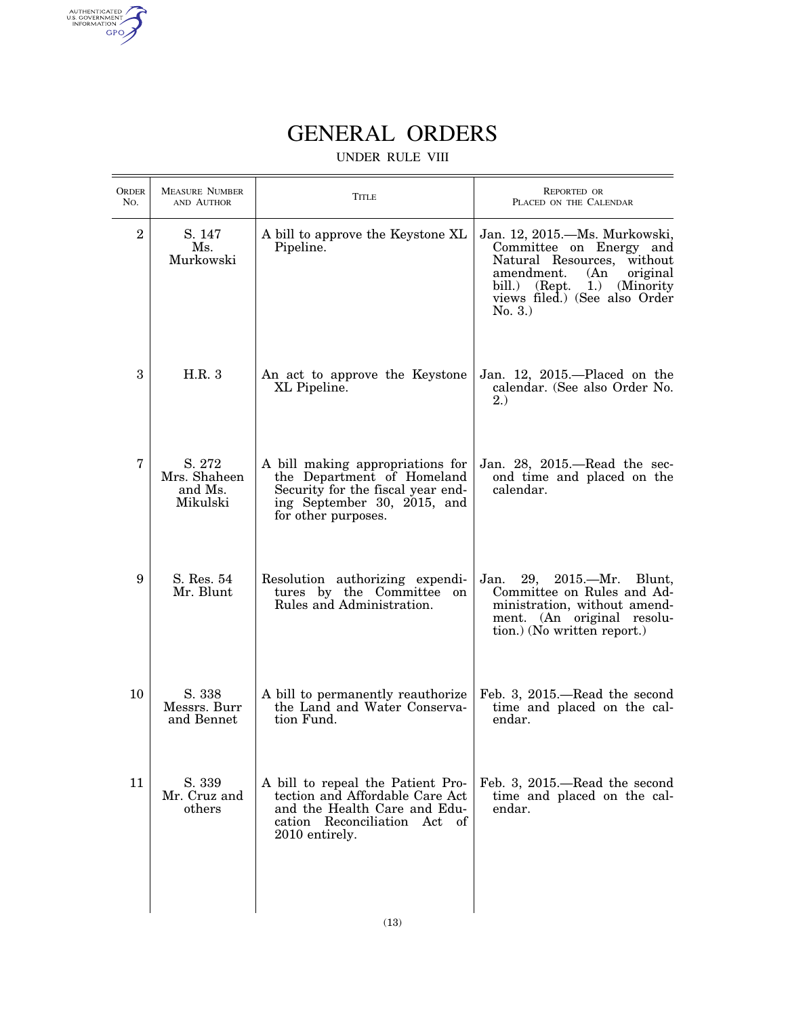authenticated<br>u.s. government<br>information<br>GPO

## GENERAL ORDERS

## UNDER RULE VIII

| <b>ORDER</b><br>No. | <b>MEASURE NUMBER</b><br>AND AUTHOR           | TITLE                                                                                                                                                     | <b>REPORTED OR</b><br>PLACED ON THE CALENDAR                                                                                                                                                       |
|---------------------|-----------------------------------------------|-----------------------------------------------------------------------------------------------------------------------------------------------------------|----------------------------------------------------------------------------------------------------------------------------------------------------------------------------------------------------|
| $\overline{2}$      | S. 147<br>Ms.<br>Murkowski                    | A bill to approve the Keystone XL<br>Pipeline.                                                                                                            | Jan. 12, 2015.—Ms. Murkowski,<br>Committee on Energy and<br>Natural Resources, without<br>amendment.<br>(An)<br>original<br>bill.) (Rept. 1.) (Minority<br>views filed.) (See also Order<br>No. 3. |
| 3                   | H.R.3                                         | An act to approve the Keystone<br>XL Pipeline.                                                                                                            | Jan. 12, 2015.—Placed on the<br>calendar. (See also Order No.<br>2.                                                                                                                                |
| 7                   | S. 272<br>Mrs. Shaheen<br>and Ms.<br>Mikulski | A bill making appropriations for<br>the Department of Homeland<br>Security for the fiscal year end-<br>ing September 30, 2015, and<br>for other purposes. | Jan. 28, 2015.—Read the sec-<br>ond time and placed on the<br>calendar.                                                                                                                            |
| 9                   | S. Res. 54<br>Mr. Blunt                       | Resolution authorizing expendi-<br>tures by the Committee on<br>Rules and Administration.                                                                 | $29, 2015$ . ---Mr.<br>Jan.<br>Blunt,<br>Committee on Rules and Ad-<br>ministration, without amend-<br>ment. (An original resolu-<br>tion.) (No written report.)                                   |
| 10                  | S. 338<br>Messrs. Burr<br>and Bennet          | A bill to permanently reauthorize<br>the Land and Water Conserva-<br>tion Fund.                                                                           | Feb. 3, 2015.—Read the second<br>time and placed on the cal-<br>endar.                                                                                                                             |
| 11                  | S. 339<br>Mr. Cruz and<br>others              | A bill to repeal the Patient Pro-<br>tection and Affordable Care Act<br>and the Health Care and Edu-<br>cation Reconciliation Act of<br>2010 entirely.    | Feb. 3, 2015.—Read the second<br>time and placed on the cal-<br>endar.                                                                                                                             |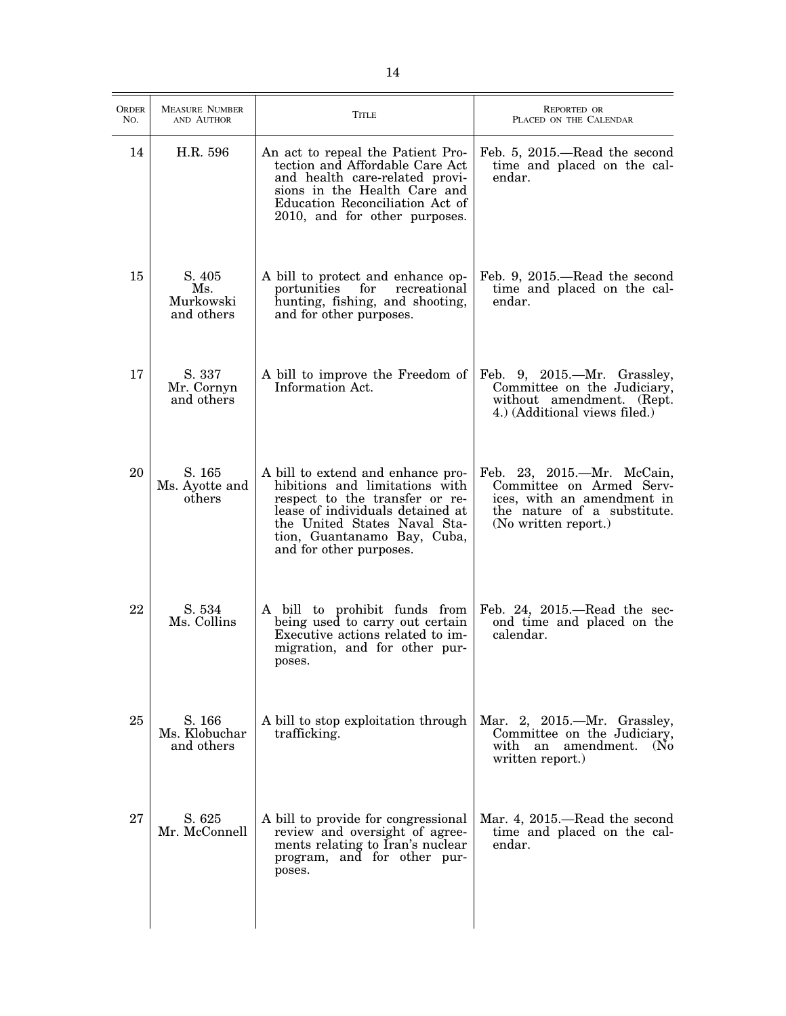| ORDER<br>No. | <b>MEASURE NUMBER</b><br>AND AUTHOR      | <b>TITLE</b>                                                                                                                                                                                                                        | <b>REPORTED OR</b><br>PLACED ON THE CALENDAR                                                                                                |
|--------------|------------------------------------------|-------------------------------------------------------------------------------------------------------------------------------------------------------------------------------------------------------------------------------------|---------------------------------------------------------------------------------------------------------------------------------------------|
| 14           | H.R. 596                                 | An act to repeal the Patient Pro-<br>tection and Affordable Care Act<br>and health care-related provi-<br>sions in the Health Care and<br>Education Reconciliation Act of<br>2010, and for other purposes.                          | Feb. 5, 2015.—Read the second<br>time and placed on the cal-<br>endar.                                                                      |
| 15           | S. 405<br>Ms.<br>Murkowski<br>and others | A bill to protect and enhance op-<br>portunities<br>for<br>recreational<br>hunting, fishing, and shooting,<br>and for other purposes.                                                                                               | Feb. 9, 2015.—Read the second<br>time and placed on the cal-<br>endar.                                                                      |
| 17           | S. 337<br>Mr. Cornyn<br>and others       | A bill to improve the Freedom of<br>Information Act.                                                                                                                                                                                | Feb. 9, 2015.—Mr. Grassley,<br>Committee on the Judiciary,<br>without amendment. (Rept.<br>4.) (Additional views filed.)                    |
| 20           | S. 165<br>Ms. Ayotte and<br>others       | A bill to extend and enhance pro-<br>hibitions and limitations with<br>respect to the transfer or re-<br>lease of individuals detained at<br>the United States Naval Sta-<br>tion, Guantanamo Bay, Cuba,<br>and for other purposes. | Feb. 23, 2015.-Mr. McCain,<br>Committee on Armed Serv-<br>ices, with an amendment in<br>the nature of a substitute.<br>(No written report.) |
| 22           | S. 534<br>Ms. Collins                    | A bill to prohibit funds from<br>being used to carry out certain<br>Executive actions related to im-<br>migration, and for other pur-<br>poses.                                                                                     | Feb. 24, $2015$ —Read the sec-<br>ond time and placed on the<br>calendar.                                                                   |
| 25           | S. 166<br>Ms. Klobuchar<br>and others    | A bill to stop exploitation through<br>trafficking.                                                                                                                                                                                 | Mar. 2, 2015.—Mr. Grassley,<br>Committee on the Judiciary,<br>with an amendment.<br>(N <sub>0</sub> )<br>written report.)                   |
| 27           | S. 625<br>Mr. McConnell                  | A bill to provide for congressional<br>review and oversight of agree-<br>ments relating to Iran's nuclear<br>program, and for other pur-<br>poses.                                                                                  | Mar. 4, 2015.—Read the second<br>time and placed on the cal-<br>endar.                                                                      |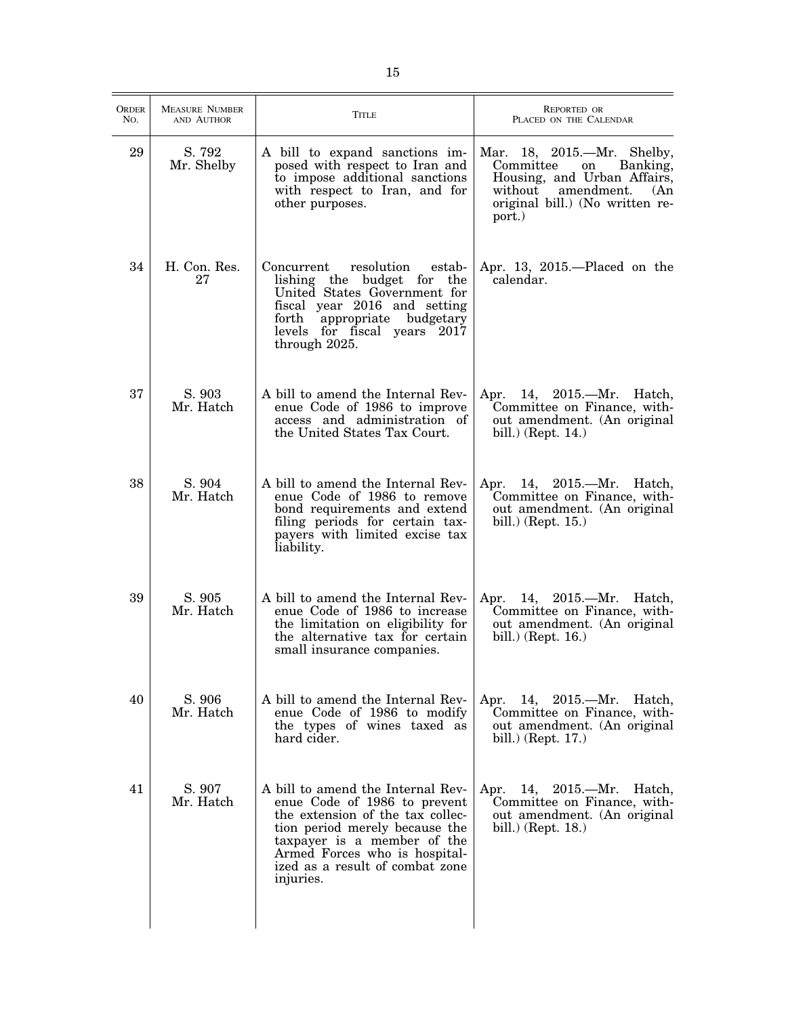| ORDER<br>No. | <b>MEASURE NUMBER</b><br>AND AUTHOR | <b>TITLE</b>                                                                                                                                                                                                                                            | <b>REPORTED OR</b><br>PLACED ON THE CALENDAR                                                                                                                        |
|--------------|-------------------------------------|---------------------------------------------------------------------------------------------------------------------------------------------------------------------------------------------------------------------------------------------------------|---------------------------------------------------------------------------------------------------------------------------------------------------------------------|
| 29           | S. 792<br>Mr. Shelby                | A bill to expand sanctions im-<br>posed with respect to Iran and<br>to impose additional sanctions<br>with respect to Iran, and for<br>other purposes.                                                                                                  | Mar. 18, 2015.—Mr. Shelby,<br>Committee<br>Banking,<br>on<br>Housing, and Urban Affairs,<br>without amendment.<br>(An)<br>original bill.) (No written re-<br>port.) |
| 34           | H. Con. Res.<br>27                  | resolution<br>Concurrent<br>estab-<br>lishing the budget for the<br>United States Government for<br>fiscal year 2016 and setting<br>forth<br>appropriate budgetary<br>levels for fiscal years 2017<br>through 2025.                                     | Apr. 13, $2015$ .—Placed on the<br>calendar.                                                                                                                        |
| 37           | S. 903<br>Mr. Hatch                 | A bill to amend the Internal Rev-<br>enue Code of 1986 to improve<br>access and administration of<br>the United States Tax Court.                                                                                                                       | Apr. 14, 2015.—Mr. Hatch,<br>Committee on Finance, with-<br>out amendment. (An original<br>bill.) (Rept. 14.)                                                       |
| 38           | S. 904<br>Mr. Hatch                 | A bill to amend the Internal Rev-<br>enue Code of 1986 to remove<br>bond requirements and extend<br>filing periods for certain tax-<br>payers with limited excise tax<br>liability.                                                                     | Apr. 14, 2015.—Mr. Hatch,<br>Committee on Finance, with-<br>out amendment. (An original<br>bill.) (Rept. 15.)                                                       |
| 39           | S. 905<br>Mr. Hatch                 | A bill to amend the Internal Rev-<br>enue Code of 1986 to increase<br>the limitation on eligibility for<br>the alternative tax for certain<br>small insurance companies.                                                                                | Apr. 14, 2015.—Mr. Hatch,<br>Committee on Finance, with-<br>out amendment. (An original<br>bill.) (Rept. 16.)                                                       |
| 40           | S. 906<br>Mr. Hatch                 | A bill to amend the Internal Rev-<br>enue Code of 1986 to modify<br>the types of wines taxed as<br>hard cider.                                                                                                                                          | Apr. 14, 2015.—Mr. Hatch,<br>Committee on Finance, with-<br>out amendment. (An original<br>bill.) (Rept. $17$ .)                                                    |
| 41           | S. 907<br>Mr. Hatch                 | A bill to amend the Internal Rev-<br>enue Code of 1986 to prevent<br>the extension of the tax collec-<br>tion period merely because the<br>taxpayer is a member of the<br>Armed Forces who is hospital-<br>ized as a result of combat zone<br>injuries. | Apr. 14, 2015.—Mr. Hatch,<br>Committee on Finance, with-<br>out amendment. (An original<br>bill.) (Rept. 18.)                                                       |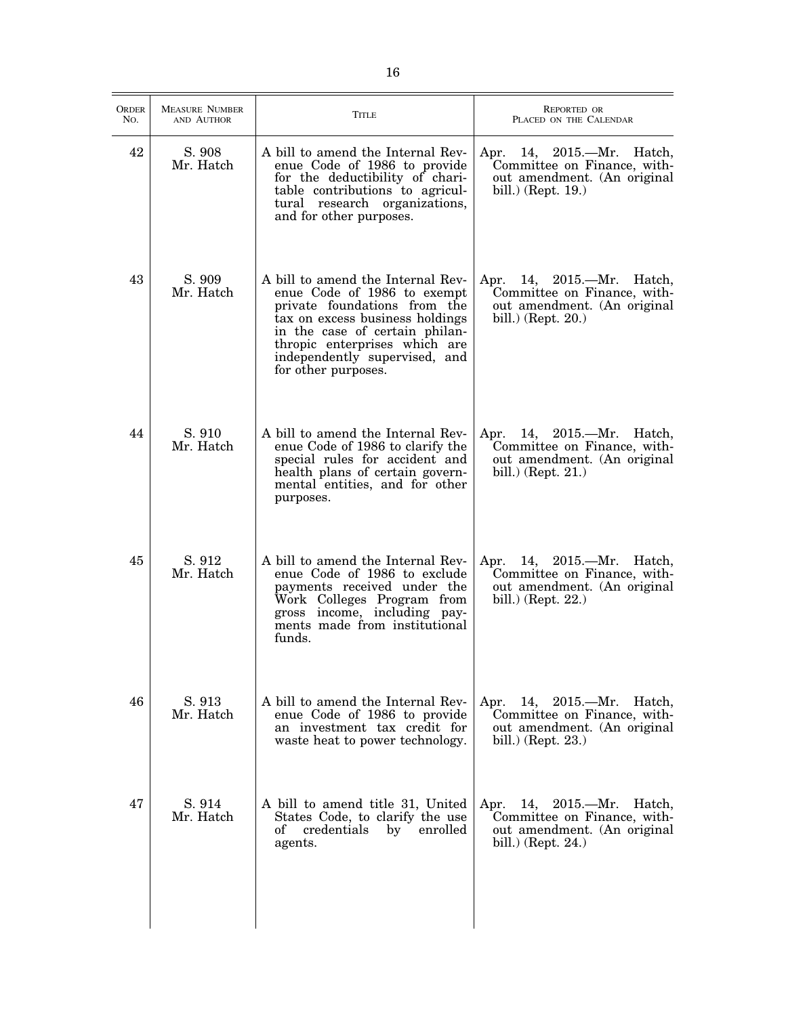| <b>ORDER</b><br>No. | <b>MEASURE NUMBER</b><br>AND AUTHOR | <b>TITLE</b>                                                                                                                                                                                                                                                   | <b>REPORTED OR</b><br>PLACED ON THE CALENDAR                                                                        |
|---------------------|-------------------------------------|----------------------------------------------------------------------------------------------------------------------------------------------------------------------------------------------------------------------------------------------------------------|---------------------------------------------------------------------------------------------------------------------|
| 42                  | S. 908<br>Mr. Hatch                 | A bill to amend the Internal Rev-<br>enue Code of 1986 to provide<br>for the deductibility of chari-<br>table contributions to agricul-<br>tural research organizations,<br>and for other purposes.                                                            | Apr. 14, 2015.—Mr. Hatch,<br>Committee on Finance, with-<br>out amendment. (An original<br>bill.) (Rept. 19.)       |
| 43                  | S. 909<br>Mr. Hatch                 | A bill to amend the Internal Rev-<br>enue Code of 1986 to exempt<br>private foundations from the<br>tax on excess business holdings<br>in the case of certain philan-<br>thropic enterprises which are<br>independently supervised, and<br>for other purposes. | Apr. 14, 2015.—Mr. Hatch,<br>Committee on Finance, with-<br>out amendment. (An original<br>bill.) (Rept. 20.)       |
| 44                  | S. 910<br>Mr. Hatch                 | A bill to amend the Internal Rev-<br>enue Code of 1986 to clarify the<br>special rules for accident and<br>health plans of certain govern-<br>mental entities, and for other<br>purposes.                                                                      | Apr.<br>14, 2015.—Mr. Hatch,<br>Committee on Finance, with-<br>out amendment. (An original<br>bill.) (Rept. $21$ .) |
| 45                  | S. 912<br>Mr. Hatch                 | A bill to amend the Internal Rev-<br>enue Code of 1986 to exclude<br>payments received under the<br>Work Colleges Program from<br>gross income, including pay-<br>ments made from institutional<br>funds.                                                      | Apr. 14, 2015.—Mr. Hatch,<br>Committee on Finance, with-<br>out amendment. (An original<br>bill.) (Rept. $22$ .)    |
| 46                  | S. 913<br>Mr. Hatch                 | A bill to amend the Internal Rev-<br>enue Code of 1986 to provide<br>an investment tax credit for<br>waste heat to power technology.                                                                                                                           | Apr.<br>14, 2015.—Mr. Hatch,<br>Committee on Finance, with-<br>out amendment. (An original<br>bill.) (Rept. $23$ .) |
| 47                  | S. 914<br>Mr. Hatch                 | A bill to amend title 31, United<br>States Code, to clarify the use<br>credentials<br>by enrolled<br>of<br>agents.                                                                                                                                             | Apr. 14, 2015.—Mr.<br>Hatch,<br>Committee on Finance, with-<br>out amendment. (An original<br>bill.) (Rept. 24.)    |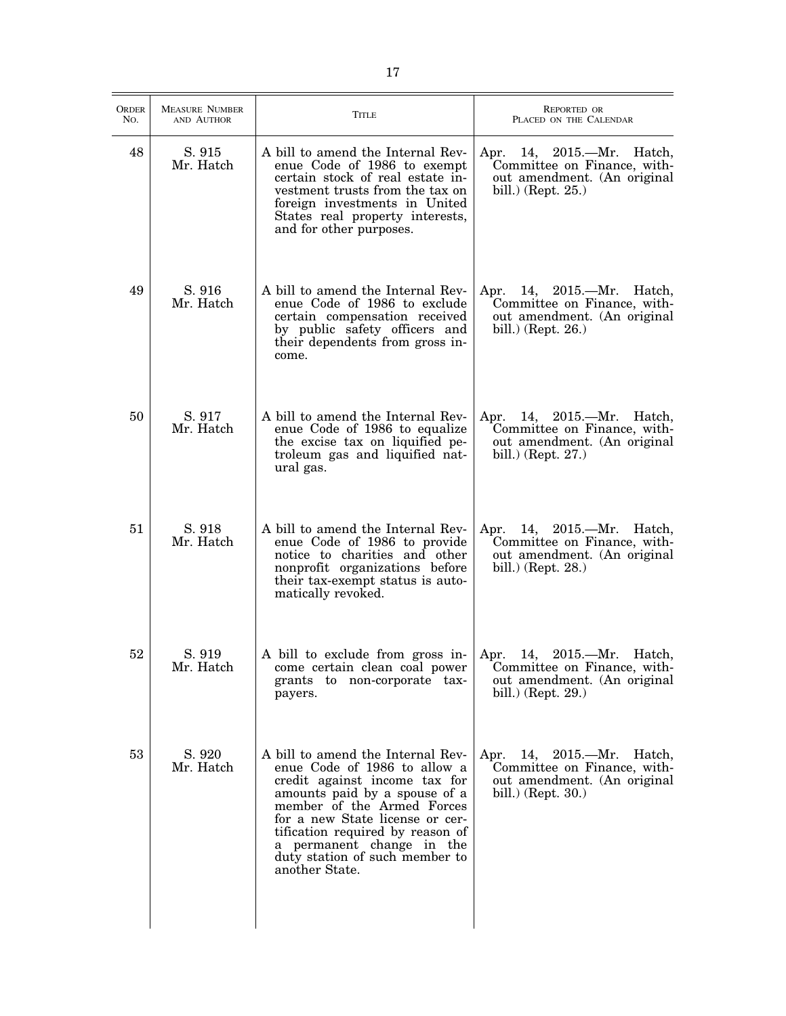| <b>ORDER</b><br>No. | <b>MEASURE NUMBER</b><br>AND AUTHOR | <b>TITLE</b>                                                                                                                                                                                                                                                                                                              | REPORTED OR<br>PLACED ON THE CALENDAR                                                                                        |
|---------------------|-------------------------------------|---------------------------------------------------------------------------------------------------------------------------------------------------------------------------------------------------------------------------------------------------------------------------------------------------------------------------|------------------------------------------------------------------------------------------------------------------------------|
| 48                  | S. 915<br>Mr. Hatch                 | A bill to amend the Internal Rev-<br>enue Code of 1986 to exempt<br>certain stock of real estate in-<br>vestment trusts from the tax on<br>foreign investments in United<br>States real property interests,<br>and for other purposes.                                                                                    | Apr. 14, 2015.—Mr. Hatch,<br>Committee on Finance, with-<br>out amendment. (An original<br>bill.) (Rept. $25.$ )             |
| 49                  | S. 916<br>Mr. Hatch                 | A bill to amend the Internal Rev-<br>enue Code of 1986 to exclude<br>certain compensation received<br>by public safety officers and<br>their dependents from gross in-<br>come.                                                                                                                                           | Apr. 14, 2015.—Mr. Hatch,<br>Committee on Finance, with-<br>out amendment. (An original<br>bill.) (Rept. $26.$ )             |
| 50                  | S. 917<br>Mr. Hatch                 | A bill to amend the Internal Rev-<br>enue Code of 1986 to equalize<br>the excise tax on liquified pe-<br>troleum gas and liquified nat-<br>ural gas.                                                                                                                                                                      | Apr.<br>14, 2015.—Mr. Hatch,<br>Committee on Finance, with-<br>out amendment. (An original<br>bill.) (Rept. $27$ .)          |
| 51                  | S. 918<br>Mr. Hatch                 | A bill to amend the Internal Rev-<br>enue Code of 1986 to provide<br>notice to charities and other<br>nonprofit organizations before<br>their tax-exempt status is auto-<br>matically revoked.                                                                                                                            | Apr. 14, 2015.—Mr. Hatch,<br>Committee on Finance, with-<br>out amendment. (An original<br>bill.) (Rept. $28$ .)             |
| 52                  | S. 919<br>Mr. Hatch                 | A bill to exclude from gross in-<br>come certain clean coal power<br>grants to non-corporate tax-<br>payers.                                                                                                                                                                                                              | $2015.$ —Mr.<br>Hatch,<br>Apr.<br>14,<br>Committee on Finance, with-<br>out amendment. (An original<br>bill.) (Rept. $29.$ ) |
| 53                  | S. 920<br>Mr. Hatch                 | A bill to amend the Internal Rev-<br>enue Code of 1986 to allow a<br>credit against income tax for<br>amounts paid by a spouse of a<br>member of the Armed Forces<br>for a new State license or cer-<br>tification required by reason of<br>a permanent change in the<br>duty station of such member to<br>another State. | 14, 2015.—Mr. Hatch,<br>Apr.<br>Committee on Finance, with-<br>out amendment. (An original<br>bill.) (Rept. $30.$ )          |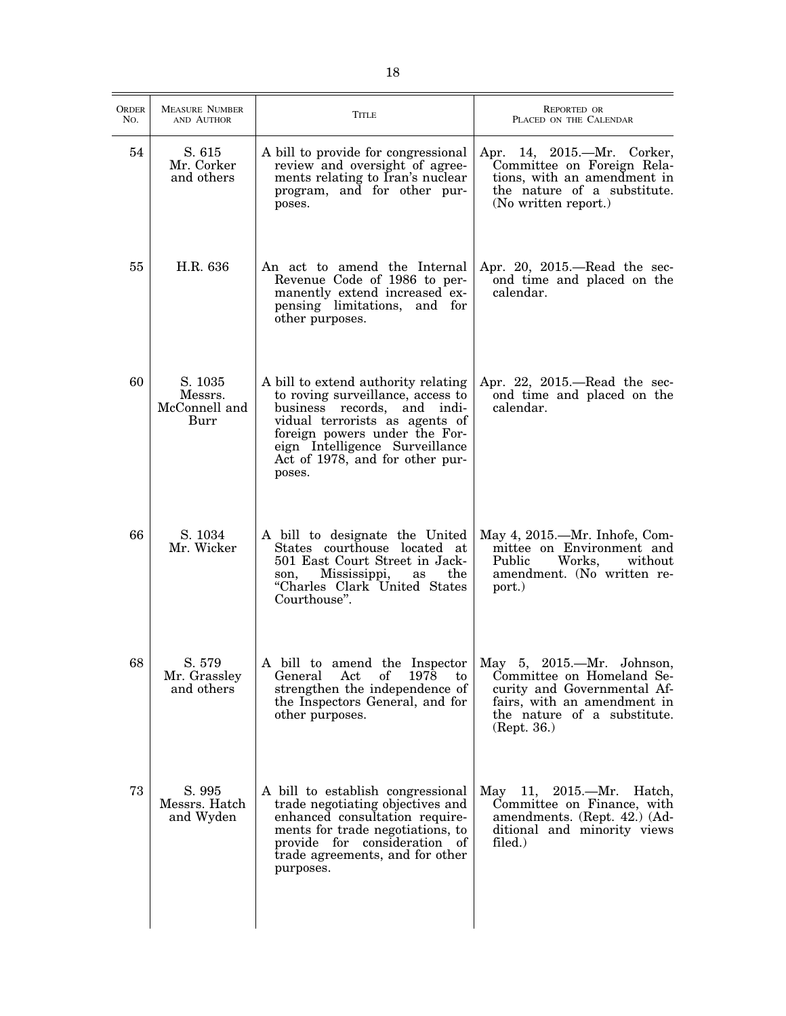| <b>ORDER</b><br>No. | <b>MEASURE NUMBER</b><br>AND AUTHOR         | <b>TITLE</b>                                                                                                                                                                                                                                              | REPORTED OR<br>PLACED ON THE CALENDAR                                                                                                                              |
|---------------------|---------------------------------------------|-----------------------------------------------------------------------------------------------------------------------------------------------------------------------------------------------------------------------------------------------------------|--------------------------------------------------------------------------------------------------------------------------------------------------------------------|
| 54                  | S. 615<br>Mr. Corker<br>and others          | A bill to provide for congressional<br>review and oversight of agree-<br>ments relating to Iran's nuclear<br>program, and for other pur-<br>poses.                                                                                                        | Apr. 14, 2015.—Mr. Corker,<br>Committee on Foreign Rela-<br>tions, with an amendment in<br>the nature of a substitute.<br>(No written report.)                     |
| 55                  | H.R. 636                                    | An act to amend the Internal<br>Revenue Code of 1986 to per-<br>manently extend increased ex-<br>pensing limitations, and for<br>other purposes.                                                                                                          | Apr. 20, $2015$ —Read the sec-<br>ond time and placed on the<br>calendar.                                                                                          |
| 60                  | S. 1035<br>Messrs.<br>McConnell and<br>Burr | A bill to extend authority relating<br>to roving surveillance, access to<br>business records, and indi-<br>vidual terrorists as agents of<br>foreign powers under the For-<br>eign Intelligence Surveillance<br>Act of 1978, and for other pur-<br>poses. | Apr. 22, $2015$ —Read the sec-<br>ond time and placed on the<br>calendar.                                                                                          |
| 66                  | S. 1034<br>Mr. Wicker                       | A bill to designate the United<br>States courthouse located at<br>501 East Court Street in Jack-<br>Mississippi,<br>the<br>son,<br>as<br>"Charles Clark United States<br>Courthouse".                                                                     | May 4, 2015.—Mr. Inhofe, Com-<br>mittee on Environment and<br>Works, without<br>Public<br>amendment. (No written re-<br>port.)                                     |
| 68                  | S. 579<br>Mr. Grassley<br>and others        | A bill to amend the Inspector<br>Act<br>of<br>1978<br>to<br>General<br>strengthen the independence of<br>the Inspectors General, and for<br>other purposes.                                                                                               | May 5, 2015.-Mr. Johnson,<br>Committee on Homeland Se-<br>curity and Governmental Af-<br>fairs, with an amendment in<br>the nature of a substitute.<br>(Rept. 36.) |
| 73                  | S. 995<br>Messrs. Hatch<br>and Wyden        | A bill to establish congressional<br>trade negotiating objectives and<br>enhanced consultation require-<br>ments for trade negotiations, to<br>provide for consideration of<br>trade agreements, and for other<br>purposes.                               | May 11, 2015.—Mr. Hatch,<br>Committee on Finance, with<br>amendments. (Rept. 42.) (Ad-<br>ditional and minority views<br>filed.)                                   |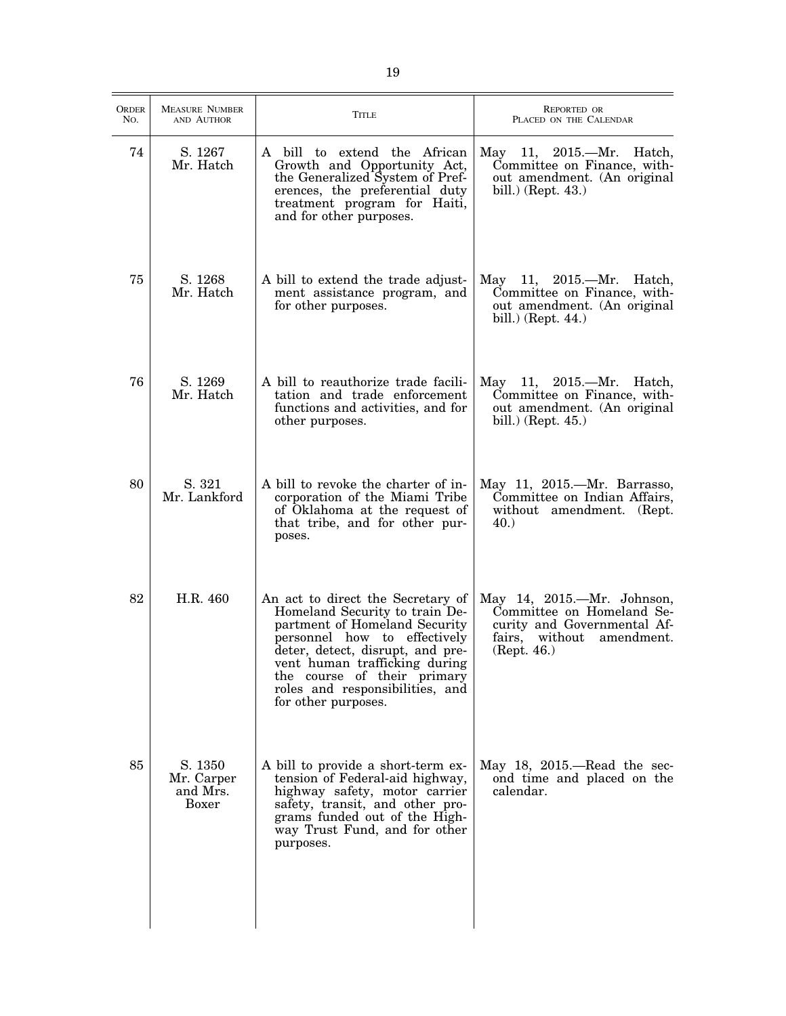| ORDER<br>No. | <b>MEASURE NUMBER</b><br>AND AUTHOR               | <b>TITLE</b>                                                                                                                                                                                                                                                                                       | REPORTED OR<br>PLACED ON THE CALENDAR                                                                                                    |
|--------------|---------------------------------------------------|----------------------------------------------------------------------------------------------------------------------------------------------------------------------------------------------------------------------------------------------------------------------------------------------------|------------------------------------------------------------------------------------------------------------------------------------------|
| 74           | S. 1267<br>Mr. Hatch                              | A bill to extend the African<br>Growth and Opportunity Act,<br>the Generalized System of Pref-<br>erences, the preferential duty<br>treatment program for Haiti,<br>and for other purposes.                                                                                                        | May 11, 2015.—Mr. Hatch,<br>Committee on Finance, with-<br>out amendment. (An original<br>bill.) (Rept. $43.$ )                          |
| 75           | S. 1268<br>Mr. Hatch                              | A bill to extend the trade adjust-<br>ment assistance program, and<br>for other purposes.                                                                                                                                                                                                          | May 11, 2015.—Mr. Hatch,<br>Committee on Finance, with-<br>out amendment. (An original<br>bill.) (Rept. $44.$ )                          |
| 76           | S. 1269<br>Mr. Hatch                              | A bill to reauthorize trade facili-<br>tation and trade enforcement<br>functions and activities, and for<br>other purposes.                                                                                                                                                                        | May 11, 2015.—Mr. Hatch,<br>Committee on Finance, with-<br>out amendment. (An original<br>bill.) (Rept. $45.$ )                          |
| 80           | S. 321<br>Mr. Lankford                            | A bill to revoke the charter of in-<br>corporation of the Miami Tribe<br>of Oklahoma at the request of<br>that tribe, and for other pur-<br>poses.                                                                                                                                                 | May 11, 2015.—Mr. Barrasso,<br>Committee on Indian Affairs,<br>without amendment. (Rept.<br>40.                                          |
| 82           | H.R. 460                                          | An act to direct the Secretary of<br>Homeland Security to train De-<br>partment of Homeland Security<br>personnel how to effectively<br>deter, detect, disrupt, and pre-<br>vent human trafficking during<br>the course of their primary<br>roles and responsibilities, and<br>for other purposes. | May 14, 2015.—Mr. Johnson,<br>Committee on Homeland Se-<br>curity and Governmental Af-<br>fairs,<br>without<br>amendment.<br>(Rept. 46.) |
| 85           | S. 1350<br>Mr. Carper<br>and Mrs.<br><b>Boxer</b> | A bill to provide a short-term ex-<br>tension of Federal-aid highway,<br>highway safety, motor carrier<br>safety, transit, and other pro-<br>grams funded out of the High-<br>way Trust Fund, and for other<br>purposes.                                                                           | May $18$ , $2015$ .—Read the sec-<br>ond time and placed on the<br>calendar.                                                             |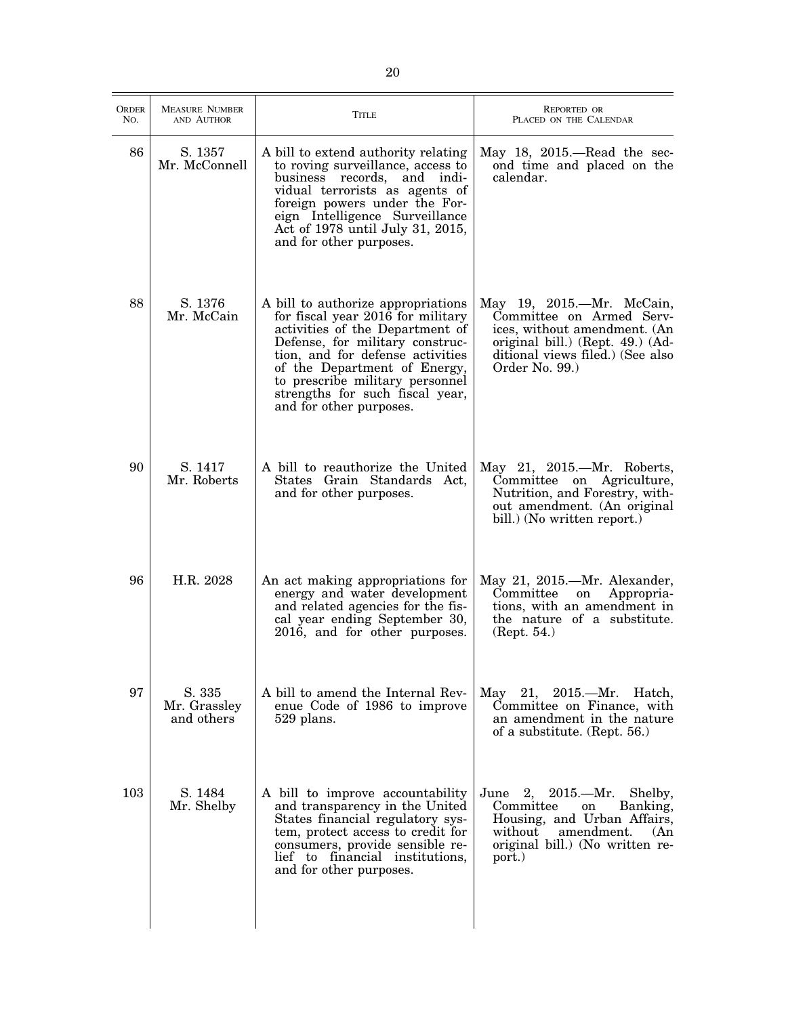| <b>ORDER</b><br>No. | <b>MEASURE NUMBER</b><br>AND AUTHOR  | <b>TITLE</b>                                                                                                                                                                                                                                                                                                       | <b>REPORTED OR</b><br>PLACED ON THE CALENDAR                                                                                                                                    |
|---------------------|--------------------------------------|--------------------------------------------------------------------------------------------------------------------------------------------------------------------------------------------------------------------------------------------------------------------------------------------------------------------|---------------------------------------------------------------------------------------------------------------------------------------------------------------------------------|
| 86                  | S. 1357<br>Mr. McConnell             | A bill to extend authority relating<br>to roving surveillance, access to<br>business records, and indi-<br>vidual terrorists as agents of<br>foreign powers under the For-<br>eign Intelligence Surveillance<br>Act of 1978 until July 31, 2015,<br>and for other purposes.                                        | May $18$ , $2015$ .—Read the sec-<br>ond time and placed on the<br>calendar.                                                                                                    |
| 88                  | S. 1376<br>Mr. McCain                | A bill to authorize appropriations<br>for fiscal year 2016 for military<br>activities of the Department of<br>Defense, for military construc-<br>tion, and for defense activities<br>of the Department of Energy,<br>to prescribe military personnel<br>strengths for such fiscal year,<br>and for other purposes. | May 19, 2015.—Mr. McCain,<br>Committee on Armed Serv-<br>ices, without amendment. (An<br>original bill.) (Rept. 49.) (Ad-<br>ditional views filed.) (See also<br>Order No. 99.) |
| 90                  | S. 1417<br>Mr. Roberts               | A bill to reauthorize the United<br>States Grain Standards Act,<br>and for other purposes.                                                                                                                                                                                                                         | May 21, 2015.—Mr. Roberts,<br>Committee on Agriculture,<br>Nutrition, and Forestry, with-<br>out amendment. (An original<br>bill.) (No written report.)                         |
| 96                  | H.R. 2028                            | An act making appropriations for<br>energy and water development<br>and related agencies for the fis-<br>cal year ending September 30,<br>2016, and for other purposes.                                                                                                                                            | May 21, 2015.—Mr. Alexander,<br>Committee<br>Appropria-<br>on<br>tions, with an amendment in<br>the nature of a substitute.<br>(Rept. 54.)                                      |
| 97                  | S. 335<br>Mr. Grassley<br>and others | A bill to amend the Internal Rev-<br>enue Code of 1986 to improve<br>529 plans.                                                                                                                                                                                                                                    | May 21, 2015.—Mr. Hatch,<br>Committee on Finance, with<br>an amendment in the nature<br>of a substitute. (Rept. 56.)                                                            |
| 103                 | S. 1484<br>Mr. Shelby                | A bill to improve accountability<br>and transparency in the United<br>States financial regulatory sys-<br>tem, protect access to credit for<br>consumers, provide sensible re-<br>lief to financial institutions,<br>and for other purposes.                                                                       | June 2, $2015$ . Mr. Shelby,<br>Committee<br>Banking,<br>on<br>Housing, and Urban Affairs,<br>amendment.<br>without<br>(An)<br>original bill.) (No written re-<br>port.)        |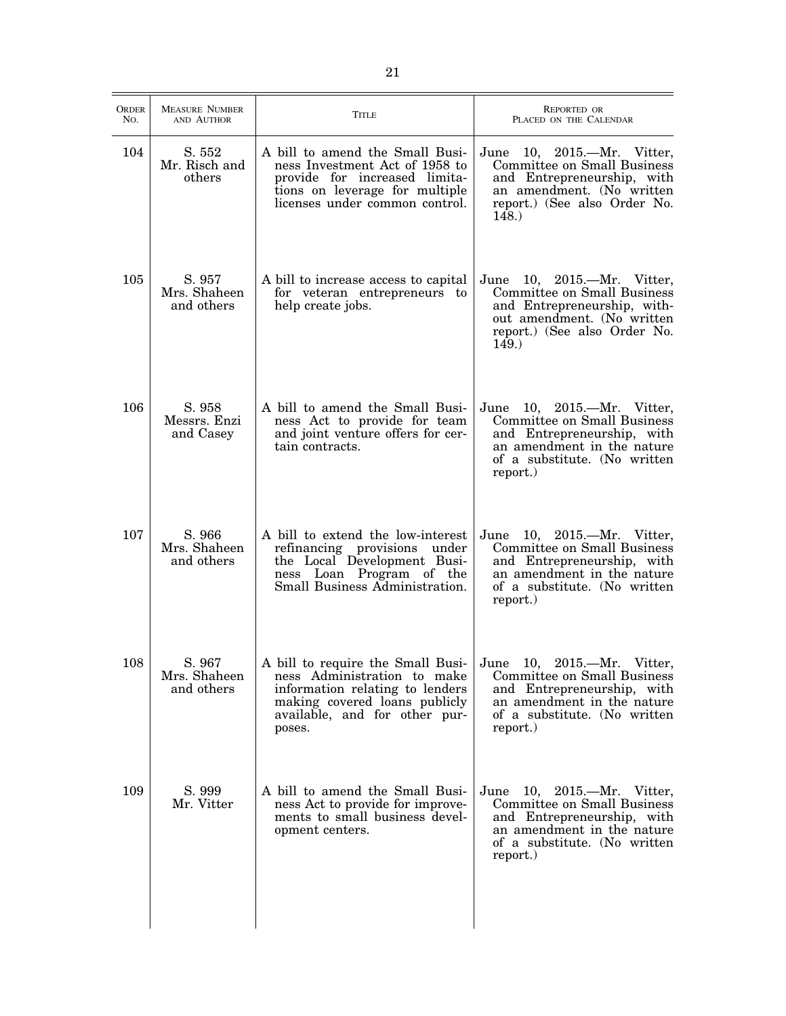| <b>ORDER</b><br>No. | <b>MEASURE NUMBER</b><br>AND AUTHOR  | <b>TITLE</b>                                                                                                                                                                    | <b>REPORTED OR</b><br>PLACED ON THE CALENDAR                                                                                                                             |
|---------------------|--------------------------------------|---------------------------------------------------------------------------------------------------------------------------------------------------------------------------------|--------------------------------------------------------------------------------------------------------------------------------------------------------------------------|
| 104                 | S. 552<br>Mr. Risch and<br>others    | A bill to amend the Small Busi-<br>ness Investment Act of 1958 to<br>provide for increased limita-<br>tions on leverage for multiple<br>licenses under common control.          | June 10, 2015.—Mr. Vitter,<br><b>Committee on Small Business</b><br>and Entrepreneurship, with<br>an amendment. (No written<br>report.) (See also Order No.<br>148.)     |
| 105                 | S. 957<br>Mrs. Shaheen<br>and others | A bill to increase access to capital<br>for veteran entrepreneurs to<br>help create jobs.                                                                                       | June 10, 2015.—Mr. Vitter,<br>Committee on Small Business<br>and Entrepreneurship, with-<br>out amendment. (No written<br>report.) (See also Order No.<br>149.           |
| 106                 | S. 958<br>Messrs. Enzi<br>and Casey  | A bill to amend the Small Busi-<br>ness Act to provide for team<br>and joint venture offers for cer-<br>tain contracts.                                                         | June 10, 2015.—Mr. Vitter,<br><b>Committee on Small Business</b><br>and Entrepreneurship, with<br>an amendment in the nature<br>of a substitute. (No written<br>report.) |
| 107                 | S. 966<br>Mrs. Shaheen<br>and others | A bill to extend the low-interest<br>refinancing provisions under<br>the Local Development Busi-<br>ness Loan Program of the<br>Small Business Administration.                  | June 10, 2015.—Mr. Vitter,<br>Committee on Small Business<br>and Entrepreneurship, with<br>an amendment in the nature<br>of a substitute. (No written<br>report.)        |
| 108                 | S. 967<br>Mrs. Shaheen<br>and others | A bill to require the Small Busi-<br>ness Administration to make<br>information relating to lenders<br>making covered loans publicly<br>available, and for other pur-<br>poses. | June 10, 2015.—Mr. Vitter,<br>Committee on Small Business<br>and Entrepreneurship, with<br>an amendment in the nature<br>of a substitute. (No written<br>report.)        |
| 109                 | S. 999<br>Mr. Vitter                 | A bill to amend the Small Busi-<br>ness Act to provide for improve-<br>ments to small business devel-<br>opment centers.                                                        | June 10, 2015.—Mr. Vitter,<br>Committee on Small Business<br>and Entrepreneurship, with<br>an amendment in the nature<br>of a substitute. (No written<br>report.)        |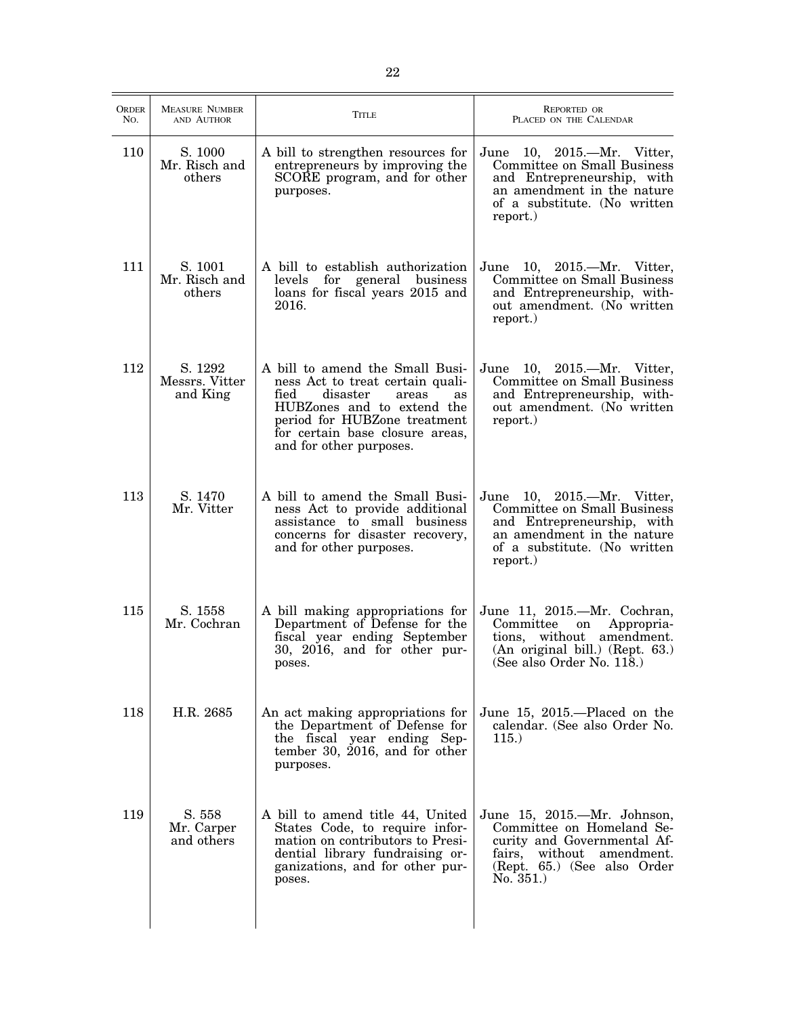| ORDER<br>No. | <b>MEASURE NUMBER</b><br>AND AUTHOR   | Title                                                                                                                                                                                                                              | <b>REPORTED OR</b><br>PLACED ON THE CALENDAR                                                                                                                            |
|--------------|---------------------------------------|------------------------------------------------------------------------------------------------------------------------------------------------------------------------------------------------------------------------------------|-------------------------------------------------------------------------------------------------------------------------------------------------------------------------|
| 110          | S. 1000<br>Mr. Risch and<br>others    | A bill to strengthen resources for<br>entrepreneurs by improving the<br>SCORE program, and for other<br>purposes.                                                                                                                  | June 10, 2015.—Mr. Vitter,<br>Committee on Small Business<br>and Entrepreneurship, with<br>an amendment in the nature<br>of a substitute. (No written<br>report.)       |
| 111          | S. 1001<br>Mr. Risch and<br>others    | A bill to establish authorization<br>levels<br>for general business<br>loans for fiscal years 2015 and<br>2016.                                                                                                                    | June 10, 2015.—Mr. Vitter,<br>Committee on Small Business<br>and Entrepreneurship, with-<br>out amendment. (No written<br>report.)                                      |
| 112          | S. 1292<br>Messrs. Vitter<br>and King | A bill to amend the Small Busi-<br>ness Act to treat certain quali-<br>fied<br>disaster<br>areas<br>as<br>HUBZones and to extend the<br>period for HUBZone treatment<br>for certain base closure areas,<br>and for other purposes. | June 10, 2015.—Mr. Vitter,<br>Committee on Small Business<br>and Entrepreneurship, with-<br>out amendment. (No written<br>report.)                                      |
| 113          | S. 1470<br>Mr. Vitter                 | A bill to amend the Small Busi-<br>ness Act to provide additional<br>assistance to small business<br>concerns for disaster recovery,<br>and for other purposes.                                                                    | June 10, 2015.—Mr. Vitter,<br>Committee on Small Business<br>and Entrepreneurship, with<br>an amendment in the nature<br>of a substitute. (No written<br>report.)       |
| 115          | S. 1558<br>Mr. Cochran                | A bill making appropriations for<br>Department of Defense for the<br>fiscal year ending September<br>30, 2016, and for other pur-<br>poses.                                                                                        | June 11, 2015.—Mr. Cochran,<br>Committee<br>Appropria-<br>on<br>tions, without amendment.<br>(An original bill.) (Rept. 63.)<br>(See also Order No. $11\overline{8}$ .) |
| 118          | H.R. 2685                             | An act making appropriations for<br>the Department of Defense for<br>the fiscal year ending Sep-<br>tember 30, $2016$ , and for other<br>purposes.                                                                                 | June 15, 2015.—Placed on the<br>calendar. (See also Order No.<br>115.                                                                                                   |
| 119          | S. 558<br>Mr. Carper<br>and others    | A bill to amend title 44, United<br>States Code, to require infor-<br>mation on contributors to Presi-<br>dential library fundraising or-<br>ganizations, and for other pur-<br>poses.                                             | June 15, 2015.—Mr. Johnson,<br>Committee on Homeland Se-<br>curity and Governmental Af-<br>fairs,<br>without amendment.<br>(Rept. 65.) (See also Order<br>No. 351.      |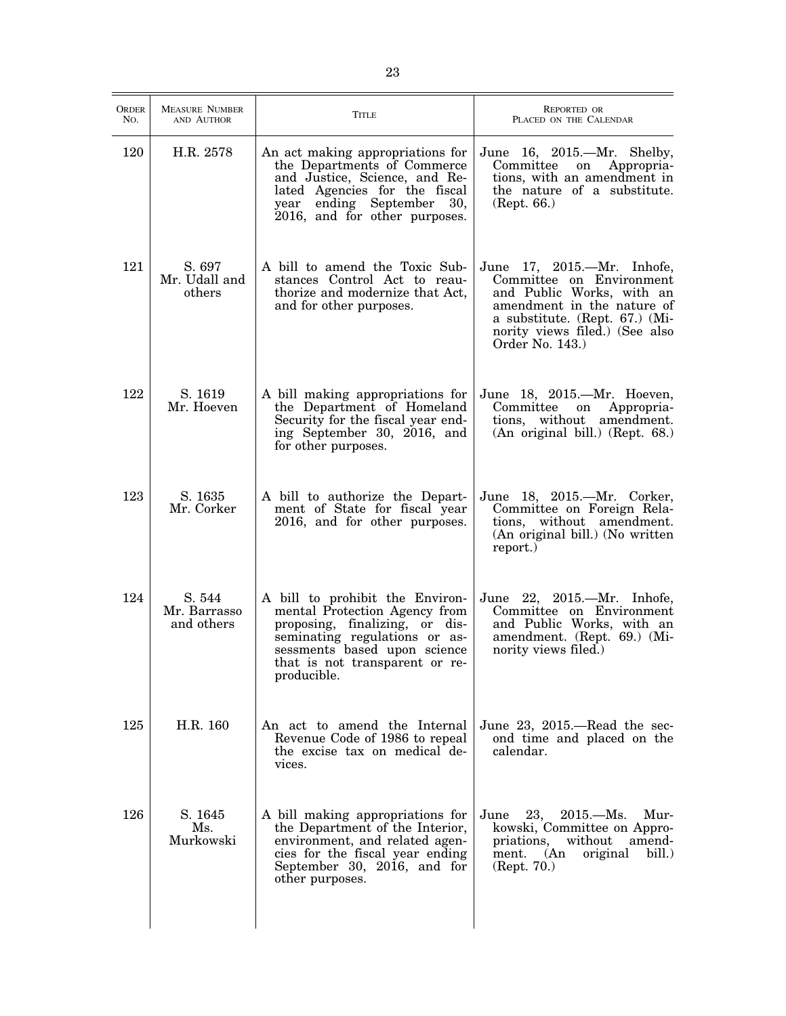| ORDER<br>No. | <b>MEASURE NUMBER</b><br>AND AUTHOR  | <b>TITLE</b>                                                                                                                                                                                                         | REPORTED OR<br>PLACED ON THE CALENDAR                                                                                                                                                                    |
|--------------|--------------------------------------|----------------------------------------------------------------------------------------------------------------------------------------------------------------------------------------------------------------------|----------------------------------------------------------------------------------------------------------------------------------------------------------------------------------------------------------|
| 120          | H.R. 2578                            | An act making appropriations for<br>the Departments of Commerce<br>and Justice, Science, and Re-<br>lated Agencies for the fiscal<br>ending September 30,<br>year<br>2016, and for other purposes.                   | June 16, 2015.—Mr. Shelby,<br>Committee<br>Appropria-<br>on<br>tions, with an amendment in<br>the nature of a substitute.<br>(Rept. 66.)                                                                 |
| 121          | S. 697<br>Mr. Udall and<br>others    | A bill to amend the Toxic Sub-<br>stances Control Act to reau-<br>thorize and modernize that Act,<br>and for other purposes.                                                                                         | June 17, 2015.—Mr. Inhofe,<br>Committee on Environment<br>and Public Works, with an<br>amendment in the nature of<br>a substitute. (Rept. 67.) (Mi-<br>nority views filed.) (See also<br>Order No. 143.) |
| 122          | S. 1619<br>Mr. Hoeven                | A bill making appropriations for<br>the Department of Homeland<br>Security for the fiscal year end-<br>ing September 30, 2016, and<br>for other purposes.                                                            | June 18, 2015.—Mr. Hoeven,<br>Committee<br>Appropria-<br>on<br>tions, without amendment.<br>(An original bill.) (Rept. 68.)                                                                              |
| 123          | S. 1635<br>Mr. Corker                | A bill to authorize the Depart-<br>ment of State for fiscal year<br>2016, and for other purposes.                                                                                                                    | June 18, 2015.—Mr. Corker,<br>Committee on Foreign Rela-<br>tions, without amendment.<br>(An original bill.) (No written<br>report.)                                                                     |
| 124          | S. 544<br>Mr. Barrasso<br>and others | A bill to prohibit the Environ-<br>mental Protection Agency from<br>proposing, finalizing, or dis-<br>seminating regulations or as-<br>sessments based upon science<br>that is not transparent or re-<br>producible. | June 22, 2015.—Mr. Inhofe,<br>Committee on Environment<br>and Public Works, with an<br>amendment. (Rept. 69.) (Mi-<br>nority views filed.)                                                               |
| 125          | H.R. 160                             | An act to amend the Internal<br>Revenue Code of 1986 to repeal<br>the excise tax on medical de-<br>vices.                                                                                                            | June 23, $2015$ —Read the sec-<br>ond time and placed on the<br>calendar.                                                                                                                                |
| 126          | S. 1645<br>Ms.<br>Murkowski          | A bill making appropriations for<br>the Department of the Interior,<br>environment, and related agen-<br>cies for the fiscal year ending<br>September 30, 2016, and for<br>other purposes.                           | 23,<br>$2015. - Ms.$<br>Mur-<br>June<br>kowski, Committee on Appro-<br>amend-<br>priations,<br>without<br>ment. (An<br>bill.)<br>original<br>(Rept. 70.)                                                 |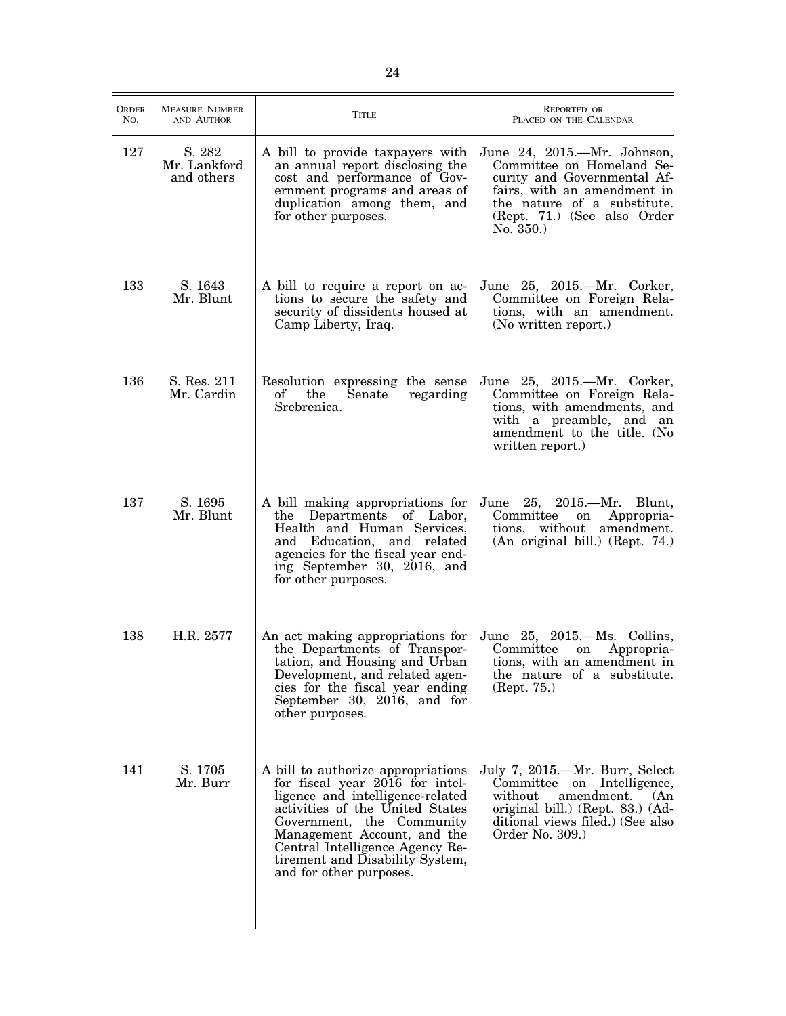| <b>ORDER</b><br>No. | <b>MEASURE NUMBER</b><br>AND AUTHOR  | TITLE                                                                                                                                                                                                                                                                                                     | REPORTED OR<br>PLACED ON THE CALENDAR                                                                                                                                                            |
|---------------------|--------------------------------------|-----------------------------------------------------------------------------------------------------------------------------------------------------------------------------------------------------------------------------------------------------------------------------------------------------------|--------------------------------------------------------------------------------------------------------------------------------------------------------------------------------------------------|
| 127                 | S. 282<br>Mr. Lankford<br>and others | A bill to provide taxpayers with<br>an annual report disclosing the<br>cost and performance of Gov-<br>ernment programs and areas of<br>duplication among them, and<br>for other purposes.                                                                                                                | June 24, 2015.—Mr. Johnson,<br>Committee on Homeland Se-<br>curity and Governmental Af-<br>fairs, with an amendment in<br>the nature of a substitute.<br>(Rept. 71.) (See also Order<br>No. 350. |
| 133                 | S. 1643<br>Mr. Blunt                 | A bill to require a report on ac-<br>tions to secure the safety and<br>security of dissidents housed at<br>Camp Liberty, Iraq.                                                                                                                                                                            | June 25, 2015.—Mr. Corker,<br>Committee on Foreign Rela-<br>tions, with an amendment.<br>(No written report.)                                                                                    |
| 136                 | S. Res. 211<br>Mr. Cardin            | Resolution expressing the sense<br>the<br>of<br>Senate<br>regarding<br>Srebrenica.                                                                                                                                                                                                                        | June 25, 2015.—Mr. Corker,<br>Committee on Foreign Rela-<br>tions, with amendments, and<br>with a preamble, and an<br>amendment to the title. (No<br>written report.)                            |
| 137                 | S. 1695<br>Mr. Blunt                 | A bill making appropriations for<br>the Departments of Labor,<br>Health and Human Services,<br>and Education, and related<br>agencies for the fiscal year end-<br>ing September 30, 2016, and<br>for other purposes.                                                                                      | June 25, 2015.—Mr. Blunt,<br>Committee<br>Appropria-<br>on<br>tions, without amendment.<br>(An original bill.) (Rept. 74.)                                                                       |
| 138                 | H.R. 2577                            | An act making appropriations for<br>the Departments of Transpor-<br>tation, and Housing and Urban<br>Development, and related agen-<br>cies for the fiscal year ending<br>September 30, 2016, and for<br>other purposes.                                                                                  | June 25, 2015.—Ms. Collins,<br>Committee<br>Appropria-<br>on<br>tions, with an amendment in<br>the nature of a substitute.<br>(Rept. 75.)                                                        |
| 141                 | S. 1705<br>Mr. Burr                  | A bill to authorize appropriations<br>for fiscal year 2016 for intel-<br>ligence and intelligence-related<br>activities of the United States<br>Government, the Community<br>Management Account, and the<br>Central Intelligence Agency Re-<br>tirement and Disability System,<br>and for other purposes. | July 7, 2015.—Mr. Burr, Select<br>Committee on Intelligence,<br>without<br>amendment.<br>(An)<br>original bill.) (Rept. 83.) (Ad-<br>ditional views filed.) (See also<br>Order No. 309.)         |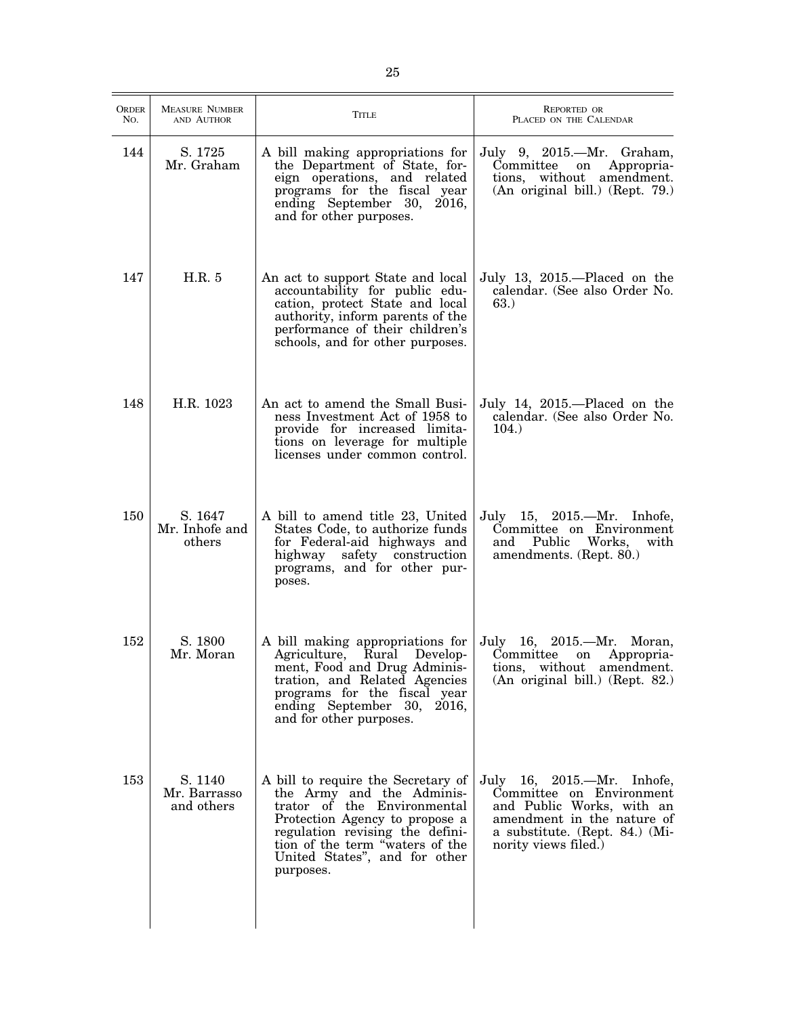| ORDER<br>No. | <b>MEASURE NUMBER</b><br>AND AUTHOR   | <b>TITLE</b>                                                                                                                                                                                                                                         | REPORTED OR<br>PLACED ON THE CALENDAR                                                                                                                                       |
|--------------|---------------------------------------|------------------------------------------------------------------------------------------------------------------------------------------------------------------------------------------------------------------------------------------------------|-----------------------------------------------------------------------------------------------------------------------------------------------------------------------------|
| 144          | S. 1725<br>Mr. Graham                 | A bill making appropriations for<br>the Department of State, for-<br>eign operations, and related<br>programs for the fiscal year<br>ending September 30, 2016,<br>and for other purposes.                                                           | July 9, 2015.—Mr. Graham,<br>Committee<br>Appropria-<br>on<br>tions, without amendment.<br>(An original bill.) (Rept. 79.)                                                  |
| 147          | H.R. 5                                | An act to support State and local<br>accountability for public edu-<br>cation, protect State and local<br>authority, inform parents of the<br>performance of their children's<br>schools, and for other purposes.                                    | July 13, 2015.—Placed on the<br>calendar. (See also Order No.<br>63.)                                                                                                       |
| 148          | H.R. 1023                             | An act to amend the Small Busi-<br>ness Investment Act of 1958 to<br>provide for increased limita-<br>tions on leverage for multiple<br>licenses under common control.                                                                               | July 14, 2015.—Placed on the<br>calendar. (See also Order No.<br>104.                                                                                                       |
| 150          | S. 1647<br>Mr. Inhofe and<br>others   | A bill to amend title 23, United<br>States Code, to authorize funds<br>for Federal-aid highways and<br>safety construction<br>highway<br>programs, and for other pur-<br>poses.                                                                      | July 15, 2015.—Mr. Inhofe,<br>Committee on Environment<br>and<br>Public<br>Works,<br>with<br>amendments. (Rept. 80.)                                                        |
| 152          | S. 1800<br>Mr. Moran                  | A bill making appropriations for<br>Agriculture, Rural Develop-<br>ment, Food and Drug Adminis-<br>tration, and Related Agencies<br>programs for the fiscal year<br>ending September 30, 2016,<br>and for other purposes.                            | July $16,$<br>2015.—Mr.<br>Moran,<br>Committee<br>Appropria-<br>on<br>tions, without amendment.<br>(An original bill.) (Rept. 82.)                                          |
| 153          | S. 1140<br>Mr. Barrasso<br>and others | A bill to require the Secretary of<br>the Army and the Adminis-<br>trator of the Environmental<br>Protection Agency to propose a<br>regulation revising the defini-<br>tion of the term "waters of the<br>United States", and for other<br>purposes. | July 16, 2015.—Mr. Inhofe,<br>Committee on Environment<br>and Public Works, with an<br>amendment in the nature of<br>a substitute. (Rept. 84.) (Mi-<br>nority views filed.) |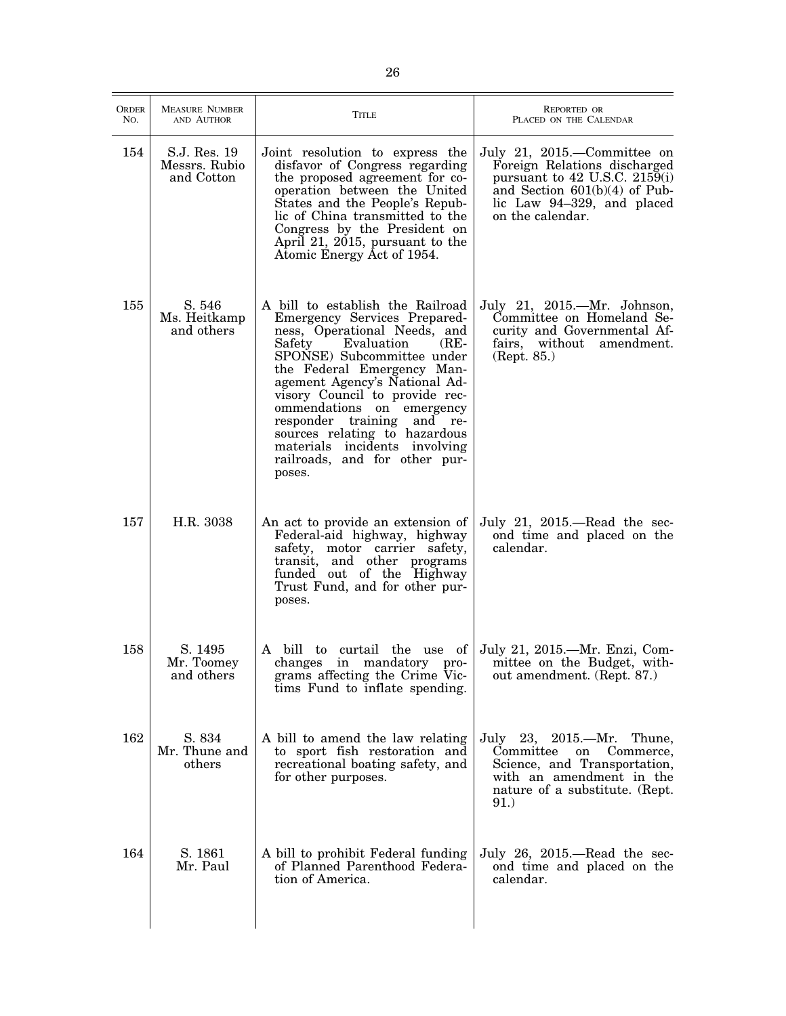| <b>ORDER</b><br>No. | <b>MEASURE NUMBER</b><br>AND AUTHOR         | Title                                                                                                                                                                                                                                                                                                                                                                                                                                     | <b>REPORTED OR</b><br>PLACED ON THE CALENDAR                                                                                                                                          |
|---------------------|---------------------------------------------|-------------------------------------------------------------------------------------------------------------------------------------------------------------------------------------------------------------------------------------------------------------------------------------------------------------------------------------------------------------------------------------------------------------------------------------------|---------------------------------------------------------------------------------------------------------------------------------------------------------------------------------------|
| 154                 | S.J. Res. 19<br>Messrs. Rubio<br>and Cotton | Joint resolution to express the<br>disfavor of Congress regarding<br>the proposed agreement for co-<br>operation between the United<br>States and the People's Repub-<br>lic of China transmitted to the<br>Congress by the President on<br>April 21, 2015, pursuant to the<br>Atomic Energy Act of 1954.                                                                                                                                 | July 21, 2015.—Committee on<br>Foreign Relations discharged<br>pursuant to $42$ U.S.C. $2159(i)$<br>and Section $601(b)(4)$ of Pub-<br>lic Law 94-329, and placed<br>on the calendar. |
| 155                 | S. 546<br>Ms. Heitkamp<br>and others        | A bill to establish the Railroad<br>Emergency Services Prepared-<br>ness, Operational Needs, and<br>Safety<br>Evaluation<br>$(RE-$<br>SPONSE) Subcommittee under<br>the Federal Emergency Man-<br>agement Agency's National Ad-<br>visory Council to provide rec-<br>ommendations on emergency<br>responder training and re-<br>sources relating to hazardous<br>materials incidents involving<br>railroads, and for other pur-<br>poses. | July 21, 2015.—Mr. Johnson,<br>Committee on Homeland Se-<br>curity and Governmental Af-<br>fairs, without amendment.<br>(Rept. 85.)                                                   |
| 157                 | H.R. 3038                                   | An act to provide an extension of<br>Federal-aid highway, highway<br>safety, motor carrier safety,<br>transit, and other programs<br>funded out of the Highway<br>Trust Fund, and for other pur-<br>poses.                                                                                                                                                                                                                                | July 21, $2015$ .—Read the sec-<br>ond time and placed on the<br>calendar.                                                                                                            |
| 158                 | S. 1495<br>Mr. Toomey<br>and others         | A bill to curtail the use of<br>changes in mandatory pro-<br>grams affecting the Crime Vic-<br>tims Fund to inflate spending.                                                                                                                                                                                                                                                                                                             | July 21, 2015.—Mr. Enzi, Com-<br>mittee on the Budget, with-<br>out amendment. (Rept. 87.)                                                                                            |
| 162                 | S. 834<br>Mr. Thune and<br>others           | A bill to amend the law relating<br>to sport fish restoration and<br>recreational boating safety, and<br>for other purposes.                                                                                                                                                                                                                                                                                                              | July 23, $2015 - Mr.$<br>Thune,<br>Committee<br>on<br>Commerce,<br>Science, and Transportation,<br>with an amendment in the<br>nature of a substitute. (Rept.<br>91.)                 |
| 164                 | S. 1861<br>Mr. Paul                         | A bill to prohibit Federal funding<br>of Planned Parenthood Federa-<br>tion of America.                                                                                                                                                                                                                                                                                                                                                   | July 26, 2015.—Read the sec-<br>ond time and placed on the<br>calendar.                                                                                                               |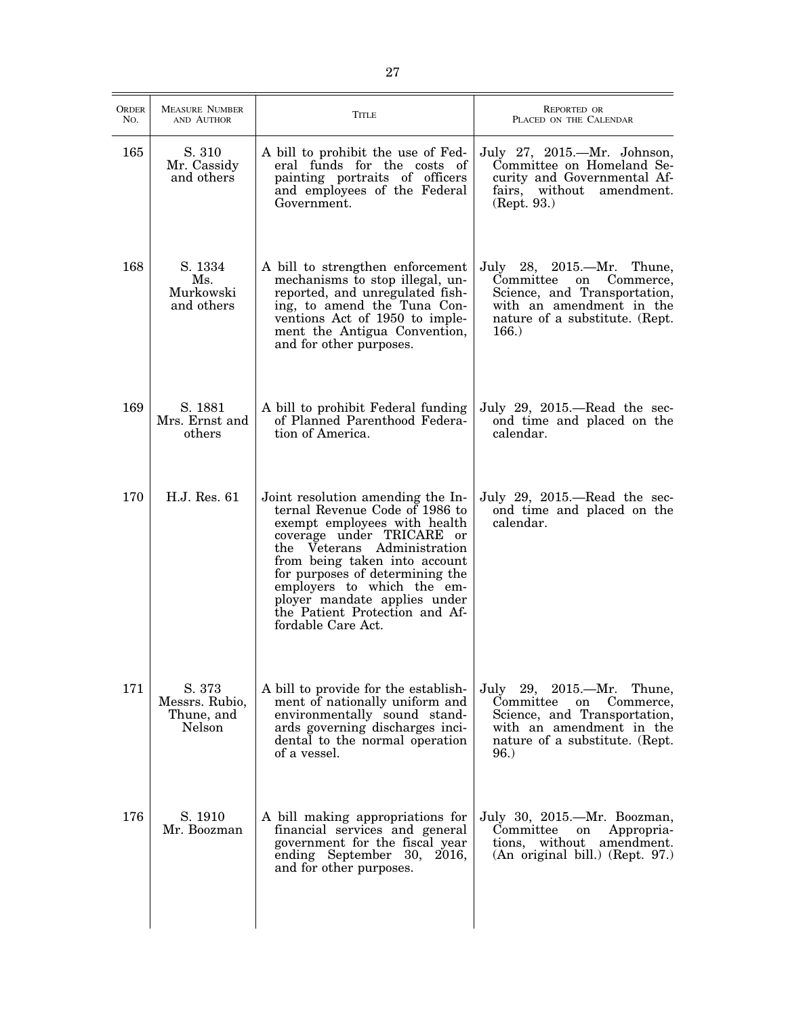| <b>ORDER</b><br>No. | <b>MEASURE NUMBER</b><br>AND AUTHOR              | Title                                                                                                                                                                                                                                                                                                                                                     | <b>REPORTED OR</b><br>PLACED ON THE CALENDAR                                                                                                                            |
|---------------------|--------------------------------------------------|-----------------------------------------------------------------------------------------------------------------------------------------------------------------------------------------------------------------------------------------------------------------------------------------------------------------------------------------------------------|-------------------------------------------------------------------------------------------------------------------------------------------------------------------------|
| 165                 | S. 310<br>Mr. Cassidy<br>and others              | A bill to prohibit the use of Fed-<br>eral funds for the costs of<br>painting portraits of officers<br>and employees of the Federal<br>Government.                                                                                                                                                                                                        | July 27, 2015.—Mr. Johnson,<br>Committee on Homeland Se-<br>curity and Governmental Af-<br>fairs, without amendment.<br>(Rept. 93.)                                     |
| 168                 | S. 1334<br>Ms.<br>Murkowski<br>and others        | A bill to strengthen enforcement<br>mechanisms to stop illegal, un-<br>reported, and unregulated fish-<br>ing, to amend the Tuna Con-<br>ventions Act of 1950 to imple-<br>ment the Antigua Convention,<br>and for other purposes.                                                                                                                        | July 28, 2015.—Mr. Thune,<br>Committee<br>on<br>Commerce,<br>Science, and Transportation,<br>with an amendment in the<br>nature of a substitute. (Rept.<br>166.         |
| 169                 | S. 1881<br>Mrs. Ernst and<br>others              | A bill to prohibit Federal funding<br>of Planned Parenthood Federa-<br>tion of America.                                                                                                                                                                                                                                                                   | July 29, 2015.—Read the sec-<br>ond time and placed on the<br>calendar.                                                                                                 |
| 170                 | H.J. Res. 61                                     | Joint resolution amending the In-<br>ternal Revenue Code of 1986 to<br>exempt employees with health<br>coverage under TRICARE or<br>the Veterans Administration<br>from being taken into account<br>for purposes of determining the<br>employers to which the em-<br>ployer mandate applies under<br>the Patient Protection and Af-<br>fordable Care Act. | July 29, 2015.—Read the sec-<br>ond time and placed on the<br>calendar.                                                                                                 |
| 171                 | S. 373<br>Messrs. Rubio,<br>Thune, and<br>Nelson | A bill to provide for the establish-<br>ment of nationally uniform and<br>environmentally sound stand-<br>ards governing discharges inci-<br>dental to the normal operation<br>of a vessel.                                                                                                                                                               | July 29, 2015.—Mr. Thune,<br>Committee<br>$\quad$ on<br>Commerce,<br>Science, and Transportation,<br>with an amendment in the<br>nature of a substitute. (Rept.<br>96.) |
| 176                 | S. 1910<br>Mr. Boozman                           | A bill making appropriations for<br>financial services and general<br>government for the fiscal year<br>ending September 30, 2016,<br>and for other purposes.                                                                                                                                                                                             | July 30, 2015.-Mr. Boozman,<br>Committee<br>Appropria-<br>on<br>tions, without amendment.<br>(An original bill.) (Rept. 97.)                                            |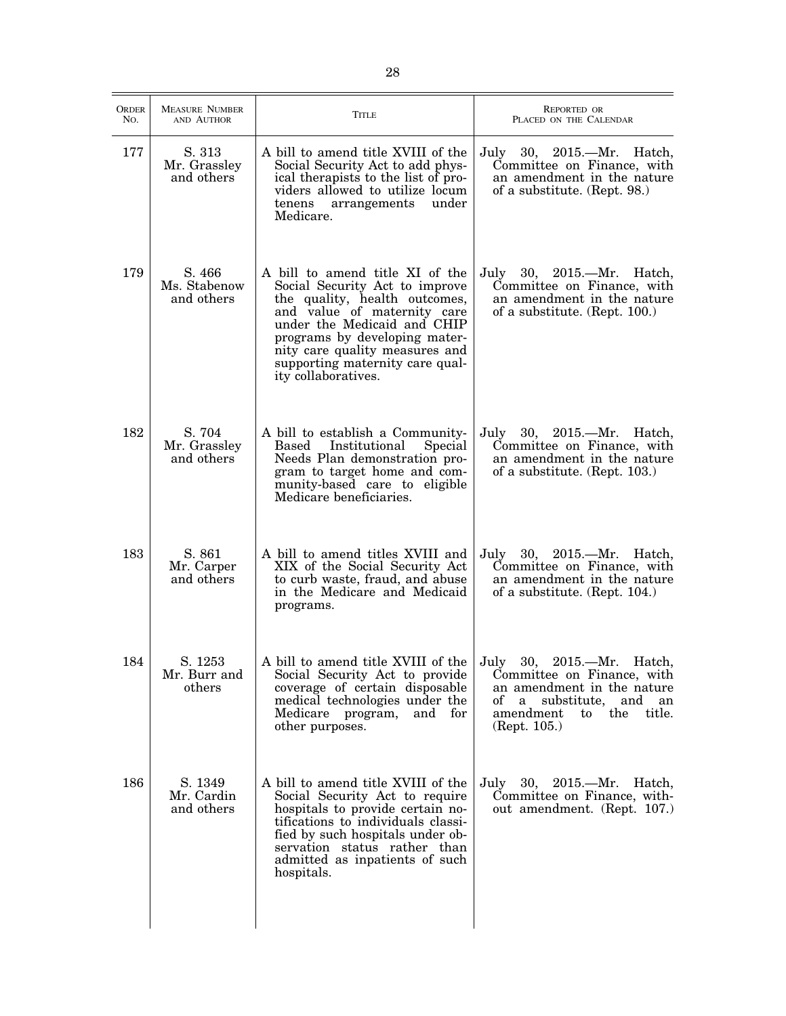| <b>ORDER</b><br>No. | <b>MEASURE NUMBER</b><br>AND AUTHOR  | TITLE                                                                                                                                                                                                                                                                                         | <b>REPORTED OR</b><br>PLACED ON THE CALENDAR                                                                                                       |
|---------------------|--------------------------------------|-----------------------------------------------------------------------------------------------------------------------------------------------------------------------------------------------------------------------------------------------------------------------------------------------|----------------------------------------------------------------------------------------------------------------------------------------------------|
| 177                 | S. 313<br>Mr. Grassley<br>and others | A bill to amend title XVIII of the<br>Social Security Act to add phys-<br>ical therapists to the list of pro-<br>viders allowed to utilize locum<br>under<br>tenens<br>arrangements<br>Medicare.                                                                                              | July 30, 2015.—Mr. Hatch,<br>Committee on Finance, with<br>an amendment in the nature<br>of a substitute. (Rept. 98.)                              |
| 179                 | S. 466<br>Ms. Stabenow<br>and others | A bill to amend title XI of the<br>Social Security Act to improve<br>the quality, health outcomes,<br>and value of maternity care<br>under the Medicaid and CHIP<br>programs by developing mater-<br>nity care quality measures and<br>supporting maternity care qual-<br>ity collaboratives. | July 30, 2015.—Mr. Hatch,<br>Committee on Finance, with<br>an amendment in the nature<br>of a substitute. (Rept. 100.)                             |
| 182                 | S. 704<br>Mr. Grassley<br>and others | A bill to establish a Community-<br>Based Institutional<br>Special<br>Needs Plan demonstration pro-<br>gram to target home and com-<br>munity-based care to eligible<br>Medicare beneficiaries.                                                                                               | July 30, 2015.—Mr. Hatch,<br>Committee on Finance, with<br>an amendment in the nature<br>of a substitute. (Rept. 103.)                             |
| 183                 | S. 861<br>Mr. Carper<br>and others   | A bill to amend titles XVIII and<br>XIX of the Social Security Act<br>to curb waste, fraud, and abuse<br>in the Medicare and Medicaid<br>programs.                                                                                                                                            | July 30, 2015.—Mr. Hatch,<br>Committee on Finance, with<br>an amendment in the nature<br>of a substitute. (Rept. 104.)                             |
| 184                 | S. 1253<br>Mr. Burr and<br>others    | A bill to amend title XVIII of the July 30, 2015.—Mr. Hatch,<br>Social Security Act to provide<br>coverage of certain disposable<br>medical technologies under the<br>Medicare program,<br>and for<br>other purposes.                                                                         | Committee on Finance, with<br>an amendment in the nature<br>substitute, and<br>of<br>a -<br>an<br>amendment<br>the<br>title.<br>to<br>(Rept. 105.) |
| 186                 | S. 1349<br>Mr. Cardin<br>and others  | A bill to amend title XVIII of the<br>Social Security Act to require<br>hospitals to provide certain no-<br>tifications to individuals classi-<br>fied by such hospitals under ob-<br>servation status rather than<br>admitted as inpatients of such<br>hospitals.                            | July 30, 2015.—Mr. Hatch,<br>Committee on Finance, with-<br>out amendment. (Rept. 107.)                                                            |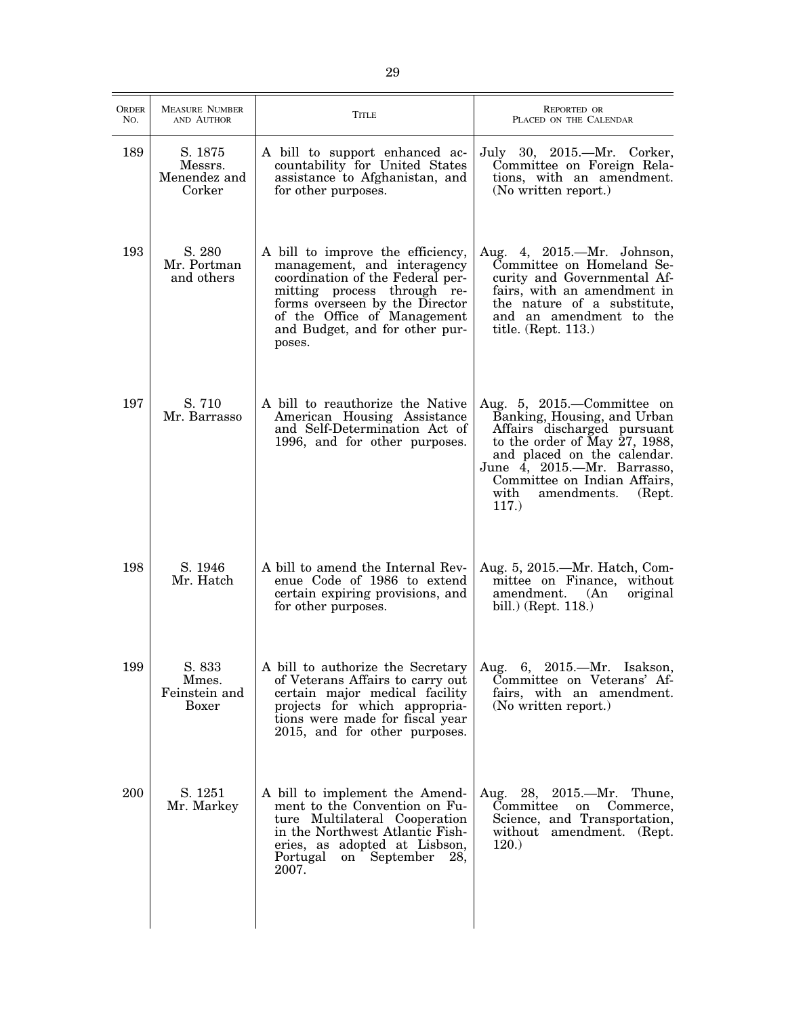| <b>ORDER</b><br>No. | <b>MEASURE NUMBER</b><br>AND AUTHOR          | Title                                                                                                                                                                                                                                            | <b>REPORTED OR</b><br>PLACED ON THE CALENDAR                                                                                                                                                                                                                                          |
|---------------------|----------------------------------------------|--------------------------------------------------------------------------------------------------------------------------------------------------------------------------------------------------------------------------------------------------|---------------------------------------------------------------------------------------------------------------------------------------------------------------------------------------------------------------------------------------------------------------------------------------|
| 189                 | S. 1875<br>Messrs.<br>Menendez and<br>Corker | A bill to support enhanced ac-<br>countability for United States<br>assistance to Afghanistan, and<br>for other purposes.                                                                                                                        | July 30, 2015.—Mr. Corker,<br>Committee on Foreign Rela-<br>tions, with an amendment.<br>(No written report.)                                                                                                                                                                         |
| 193                 | S. 280<br>Mr. Portman<br>and others          | A bill to improve the efficiency,<br>management, and interagency<br>coordination of the Federal per-<br>mitting process through re-<br>forms overseen by the Director<br>of the Office of Management<br>and Budget, and for other pur-<br>poses. | Aug. 4, 2015.—Mr. Johnson,<br>Committee on Homeland Se-<br>curity and Governmental Af-<br>fairs, with an amendment in<br>the nature of a substitute,<br>and an amendment to the<br>title. $(\text{Rept. } 113.)$                                                                      |
| 197                 | S. 710<br>Mr. Barrasso                       | A bill to reauthorize the Native<br>American Housing Assistance<br>and Self-Determination Act of<br>1996, and for other purposes.                                                                                                                | Aug. 5, 2015.—Committee on<br>Banking, Housing, and Urban<br>Affairs discharged pursuant<br>to the order of May $27$ , 1988,<br>and placed on the calendar.<br>June $\overline{4}$ , 2015.—Mr. Barrasso,<br>Committee on Indian Affairs,<br>with<br>amendments.<br>(Rept.<br>$117.$ ) |
| 198                 | S. 1946<br>Mr. Hatch                         | A bill to amend the Internal Rev-<br>enue Code of 1986 to extend<br>certain expiring provisions, and<br>for other purposes.                                                                                                                      | Aug. 5, 2015.—Mr. Hatch, Com-<br>mittee on Finance, without<br>amendment.<br>original<br>(An)<br>bill.) (Rept. 118.)                                                                                                                                                                  |
| 199                 | S. 833<br>Mmes.<br>Feinstein and<br>Boxer    | A bill to authorize the Secretary<br>of Veterans Affairs to carry out<br>certain major medical facility<br>projects for which appropria-<br>tions were made for fiscal year<br>2015, and for other purposes.                                     | Aug. 6, 2015.-Mr. Isakson,<br>Committee on Veterans' Af-<br>fairs, with an amendment.<br>(No written report.)                                                                                                                                                                         |
| 200                 | S. 1251<br>Mr. Markey                        | A bill to implement the Amend-<br>ment to the Convention on Fu-<br>ture Multilateral Cooperation<br>in the Northwest Atlantic Fish-<br>eries, as adopted at Lisbson,<br>Portugal<br>on September<br>28,<br>2007.                                 | Aug. 28, 2015.—Mr. Thune,<br>Committee<br>on<br>Commerce,<br>Science, and Transportation,<br>without amendment. (Rept.<br>120.)                                                                                                                                                       |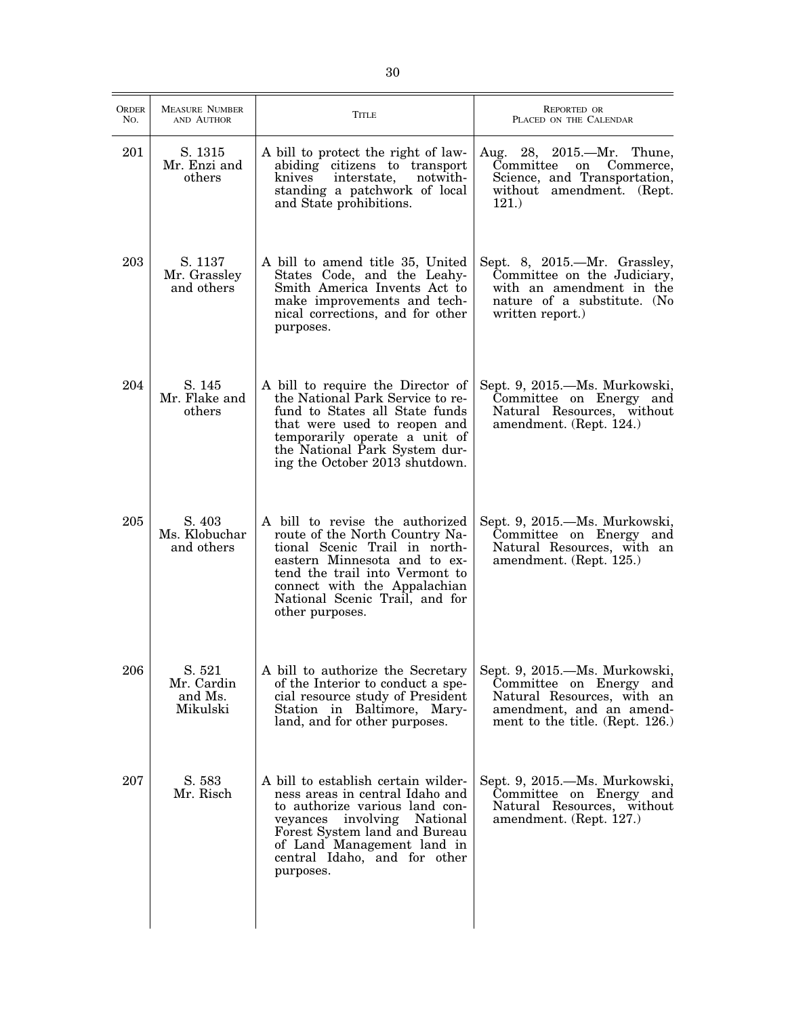| <b>ORDER</b><br>No. | <b>MEASURE NUMBER</b><br>AND AUTHOR         | <b>TITLE</b>                                                                                                                                                                                                                                              | <b>REPORTED OR</b><br>PLACED ON THE CALENDAR                                                                                                          |
|---------------------|---------------------------------------------|-----------------------------------------------------------------------------------------------------------------------------------------------------------------------------------------------------------------------------------------------------------|-------------------------------------------------------------------------------------------------------------------------------------------------------|
| 201                 | S. 1315<br>Mr. Enzi and<br>others           | A bill to protect the right of law-<br>abiding citizens to transport<br>knives<br>interstate,<br>notwith-<br>standing a patchwork of local<br>and State prohibitions.                                                                                     | Aug. 28, 2015.—Mr. Thune,<br>Committee<br>on<br>Commerce,<br>Science, and Transportation,<br>without amendment. (Rept.<br>121.                        |
| 203                 | S. 1137<br>Mr. Grassley<br>and others       | A bill to amend title 35, United<br>States Code, and the Leahy-<br>Smith America Invents Act to<br>make improvements and tech-<br>nical corrections, and for other<br>purposes.                                                                           | Sept. 8, 2015.—Mr. Grassley,<br>Committee on the Judiciary,<br>with an amendment in the<br>nature of a substitute. (No<br>written report.)            |
| 204                 | S. 145<br>Mr. Flake and<br>others           | A bill to require the Director of<br>the National Park Service to re-<br>fund to States all State funds<br>that were used to reopen and<br>temporarily operate a unit of<br>the National Park System dur-<br>ing the October 2013 shutdown.               | Sept. 9, 2015.—Ms. Murkowski,<br>Committee on Energy and<br>Natural Resources, without<br>amendment. (Rept. 124.)                                     |
| 205                 | S. 403<br>Ms. Klobuchar<br>and others       | A bill to revise the authorized<br>route of the North Country Na-<br>tional Scenic Trail in north-<br>eastern Minnesota and to ex-<br>tend the trail into Vermont to<br>connect with the Appalachian<br>National Scenic Trail, and for<br>other purposes. | Sept. 9, 2015.—Ms. Murkowski,<br>Committee on Energy and<br>Natural Resources, with an<br>amendment. (Rept. 125.)                                     |
| 206                 | S. 521<br>Mr. Cardin<br>and Ms.<br>Mikulski | A bill to authorize the Secretary<br>of the Interior to conduct a spe-<br>cial resource study of President<br>Station in Baltimore, Mary-<br>land, and for other purposes.                                                                                | Sept. 9, 2015.—Ms. Murkowski,<br>Committee on Energy and<br>Natural Resources, with an<br>amendment, and an amend-<br>ment to the title. (Rept. 126.) |
| 207                 | S. 583<br>Mr. Risch                         | A bill to establish certain wilder-<br>ness areas in central Idaho and<br>to authorize various land con-<br>veyances involving National<br>Forest System land and Bureau<br>of Land Management land in<br>central Idaho, and for other<br>purposes.       | Sept. 9, 2015.—Ms. Murkowski,<br>Committee on Energy and<br>Natural Resources, without<br>amendment. (Rept. 127.)                                     |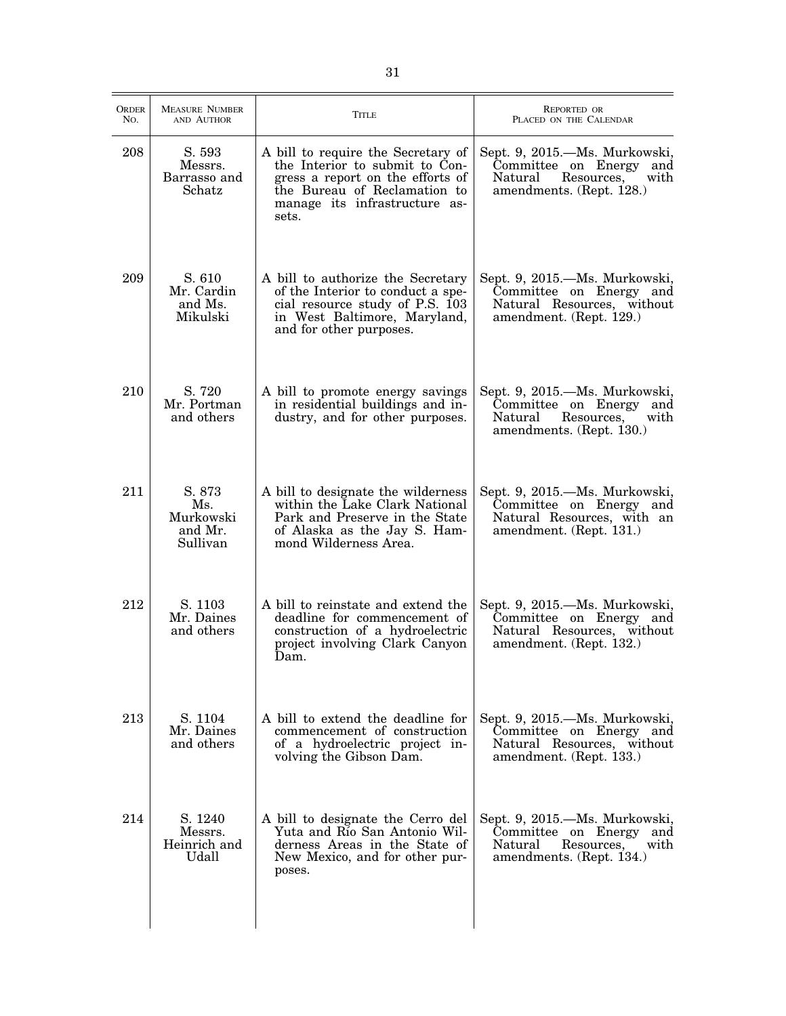| <b>ORDER</b><br>No. | <b>MEASURE NUMBER</b><br>AND AUTHOR               | <b>TITLE</b>                                                                                                                                                                       | <b>REPORTED OR</b><br>PLACED ON THE CALENDAR                                                                             |
|---------------------|---------------------------------------------------|------------------------------------------------------------------------------------------------------------------------------------------------------------------------------------|--------------------------------------------------------------------------------------------------------------------------|
| 208                 | S. 593<br>Messrs.<br>Barrasso and<br>Schatz       | A bill to require the Secretary of<br>the Interior to submit to Con-<br>gress a report on the efforts of<br>the Bureau of Reclamation to<br>manage its infrastructure as-<br>sets. | Sept. 9, 2015.—Ms. Murkowski,<br>Committee on Energy<br>and<br>with<br>Natural<br>Resources.<br>amendments. (Rept. 128.) |
| 209                 | S. 610<br>Mr. Cardin<br>and Ms.<br>Mikulski       | A bill to authorize the Secretary<br>of the Interior to conduct a spe-<br>cial resource study of P.S. 103<br>in West Baltimore, Maryland,<br>and for other purposes.               | Sept. 9, 2015.—Ms. Murkowski,<br>Committee on Energy and<br>Natural Resources, without<br>amendment. (Rept. 129.)        |
| 210                 | S. 720<br>Mr. Portman<br>and others               | A bill to promote energy savings<br>in residential buildings and in-<br>dustry, and for other purposes.                                                                            | Sept. 9, 2015.—Ms. Murkowski,<br>Committee on Energy<br>and<br>Resources,<br>with<br>Natural<br>amendments. (Rept. 130.) |
| 211                 | S. 873<br>Ms.<br>Murkowski<br>and Mr.<br>Sullivan | A bill to designate the wilderness<br>within the Lake Clark National<br>Park and Preserve in the State<br>of Alaska as the Jay S. Ham-<br>mond Wilderness Area.                    | Sept. 9, 2015.—Ms. Murkowski,<br>Committee on Energy and<br>Natural Resources, with an<br>amendment. (Rept. 131.)        |
| 212                 | S. 1103<br>Mr. Daines<br>and others               | A bill to reinstate and extend the<br>deadline for commencement of<br>construction of a hydroelectric<br>project involving Clark Canyon<br>Dam.                                    | Sept. 9, 2015.—Ms. Murkowski,<br>Committee on Energy and<br>Natural Resources, without<br>amendment. (Rept. 132.)        |
| 213                 | S. 1104<br>Mr. Daines<br>and others               | A bill to extend the deadline for<br>commencement of construction<br>of a hydroelectric project in-<br>volving the Gibson Dam.                                                     | Sept. 9, 2015.—Ms. Murkowski,<br>Committee on Energy and<br>Natural Resources, without<br>amendment. (Rept. 133.)        |
| 214                 | S. 1240<br>Messrs.<br>Heinrich and<br>Udall       | A bill to designate the Cerro del<br>Yuta and Río San Antonio Wil-<br>derness Areas in the State of<br>New Mexico, and for other pur-<br>poses.                                    | Sept. 9, 2015.—Ms. Murkowski,<br>Committee on Energy<br>and<br>Resources,<br>with<br>Natural<br>amendments. (Rept. 134.) |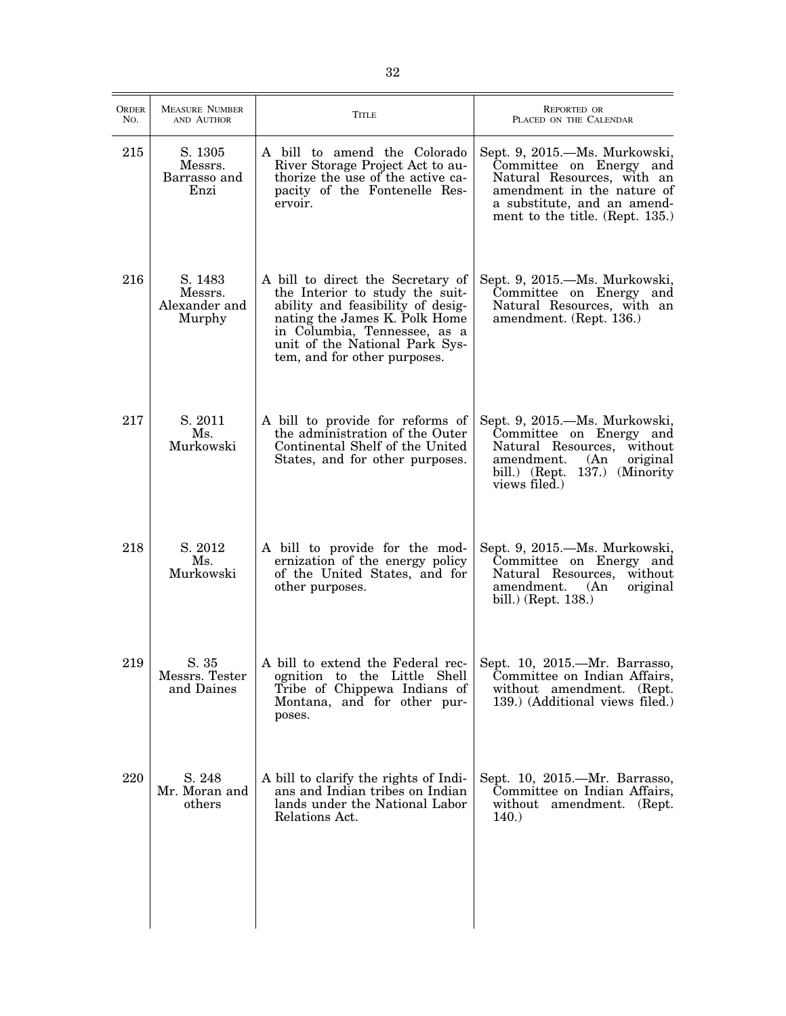| <b>ORDER</b><br>No. | <b>MEASURE NUMBER</b><br>AND AUTHOR           | <b>TITLE</b>                                                                                                                                                                                                                                 | REPORTED OR<br>PLACED ON THE CALENDAR                                                                                                                                                  |
|---------------------|-----------------------------------------------|----------------------------------------------------------------------------------------------------------------------------------------------------------------------------------------------------------------------------------------------|----------------------------------------------------------------------------------------------------------------------------------------------------------------------------------------|
| 215                 | S. 1305<br>Messrs.<br>Barrasso and<br>Enzi    | A bill to amend the Colorado<br>River Storage Project Act to au-<br>thorize the use of the active ca-<br>pacity of the Fontenelle Res-<br>ervoir.                                                                                            | Sept. 9, 2015.—Ms. Murkowski,<br>Committee on Energy and<br>Natural Resources, with an<br>amendment in the nature of<br>a substitute, and an amend-<br>ment to the title. (Rept. 135.) |
| 216                 | S. 1483<br>Messrs.<br>Alexander and<br>Murphy | A bill to direct the Secretary of<br>the Interior to study the suit-<br>ability and feasibility of desig-<br>nating the James K. Polk Home<br>in Columbia, Tennessee, as a<br>unit of the National Park Sys-<br>tem, and for other purposes. | Sept. 9, 2015.—Ms. Murkowski,<br>Committee on Energy and<br>Natural Resources, with an<br>amendment. (Rept. 136.)                                                                      |
| 217                 | S. 2011<br>Ms.<br>Murkowski                   | A bill to provide for reforms of<br>the administration of the Outer<br>Continental Shelf of the United<br>States, and for other purposes.                                                                                                    | Sept. 9, 2015.—Ms. Murkowski,<br>Committee on Energy and<br>Natural Resources, without<br>amendment.<br>(An)<br>original<br>bill.) (Rept. 137.) (Minority<br>views filed.)             |
| 218                 | S. 2012<br>Ms.<br>Murkowski                   | A bill to provide for the mod-<br>ernization of the energy policy<br>of the United States, and for<br>other purposes.                                                                                                                        | Sept. 9, 2015.—Ms. Murkowski,<br>Committee on Energy and<br>Natural Resources, without<br>amendment.<br>original<br>(An)<br>bill.) (Rept. 138.)                                        |
| 219                 | S. 35<br>Messrs. Tester<br>and Daines         | A bill to extend the Federal rec-<br>ognition to the Little Shell<br>Tribe of Chippewa Indians of<br>Montana, and for other pur-<br>poses.                                                                                                   | Sept. 10, 2015.-Mr. Barrasso,<br>Committee on Indian Affairs,<br>without amendment. (Rept.<br>139.) (Additional views filed.)                                                          |
| 220                 | S. 248<br>Mr. Moran and<br>others             | A bill to clarify the rights of Indi-<br>ans and Indian tribes on Indian<br>lands under the National Labor<br>Relations Act.                                                                                                                 | Sept. 10, 2015.—Mr. Barrasso,<br>Committee on Indian Affairs,<br>without amendment. (Rept.<br>140.                                                                                     |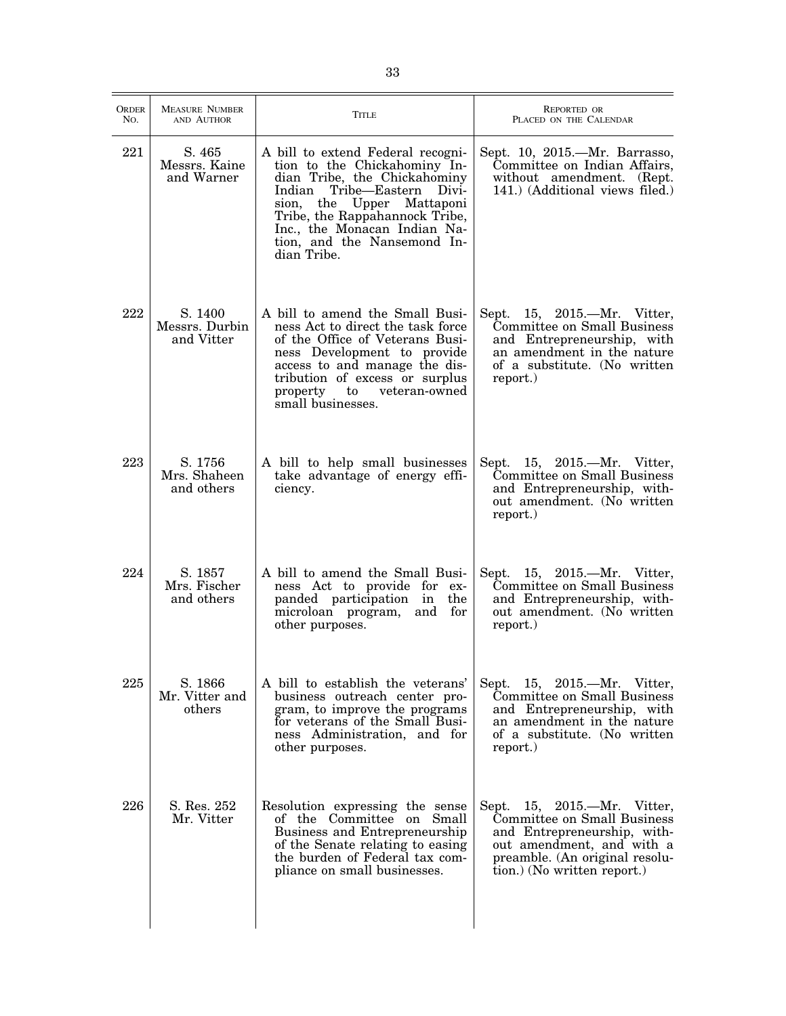| <b>ORDER</b><br>No. | <b>MEASURE NUMBER</b><br>AND AUTHOR     | TITLE                                                                                                                                                                                                                                                                           | <b>REPORTED OR</b><br>PLACED ON THE CALENDAR                                                                                                                                            |
|---------------------|-----------------------------------------|---------------------------------------------------------------------------------------------------------------------------------------------------------------------------------------------------------------------------------------------------------------------------------|-----------------------------------------------------------------------------------------------------------------------------------------------------------------------------------------|
| 221                 | S. 465<br>Messrs. Kaine<br>and Warner   | A bill to extend Federal recogni-<br>tion to the Chickahominy In-<br>dian Tribe, the Chickahominy<br>Tribe-Eastern Divi-<br>Indian<br>sion, the Upper Mattaponi<br>Tribe, the Rappahannock Tribe,<br>Inc., the Monacan Indian Na-<br>tion, and the Nansemond In-<br>dian Tribe. | Sept. 10, 2015.—Mr. Barrasso,<br>Committee on Indian Affairs,<br>without amendment. (Rept.<br>141.) (Additional views filed.)                                                           |
| 222                 | S. 1400<br>Messrs. Durbin<br>and Vitter | A bill to amend the Small Busi-<br>ness Act to direct the task force<br>of the Office of Veterans Busi-<br>ness Development to provide<br>access to and manage the dis-<br>tribution of excess or surplus<br>veteran-owned<br>property<br>to<br>small businesses.               | Sept. 15, 2015.—Mr. Vitter,<br>Committee on Small Business<br>and Entrepreneurship, with<br>an amendment in the nature<br>of a substitute. (No written<br>report.)                      |
| 223                 | S. 1756<br>Mrs. Shaheen<br>and others   | A bill to help small businesses<br>take advantage of energy effi-<br>ciency.                                                                                                                                                                                                    | Sept. 15, 2015.—Mr. Vitter,<br>Committee on Small Business<br>and Entrepreneurship, with-<br>out amendment. (No written<br>report.)                                                     |
| 224                 | S. 1857<br>Mrs. Fischer<br>and others   | A bill to amend the Small Busi-<br>ness Act to provide for ex-<br>panded participation in<br>the<br>microloan program,<br>and<br>for<br>other purposes.                                                                                                                         | Sept. 15, 2015.-- Mr. Vitter,<br>Committee on Small Business<br>and Entrepreneurship, with-<br>out amendment. (No written<br>report.)                                                   |
| 225                 | S. 1866<br>Mr. Vitter and<br>others     | A bill to establish the veterans'<br>business outreach center pro-<br>gram, to improve the programs<br>for veterans of the Small Busi-<br>ness Administration, and for<br>other purposes.                                                                                       | Sept. 15, 2015.—Mr. Vitter,<br>Committee on Small Business<br>and Entrepreneurship, with<br>an amendment in the nature<br>of a substitute. (No written<br>report.)                      |
| 226                 | S. Res. 252<br>Mr. Vitter               | Resolution expressing the sense<br>of the Committee on Small<br>Business and Entrepreneurship<br>of the Senate relating to easing<br>the burden of Federal tax com-<br>pliance on small businesses.                                                                             | Sept. 15, 2015.—Mr. Vitter,<br>Committee on Small Business<br>and Entrepreneurship, with-<br>out amendment, and with a<br>preamble. (An original resolu-<br>tion.) (No written report.) |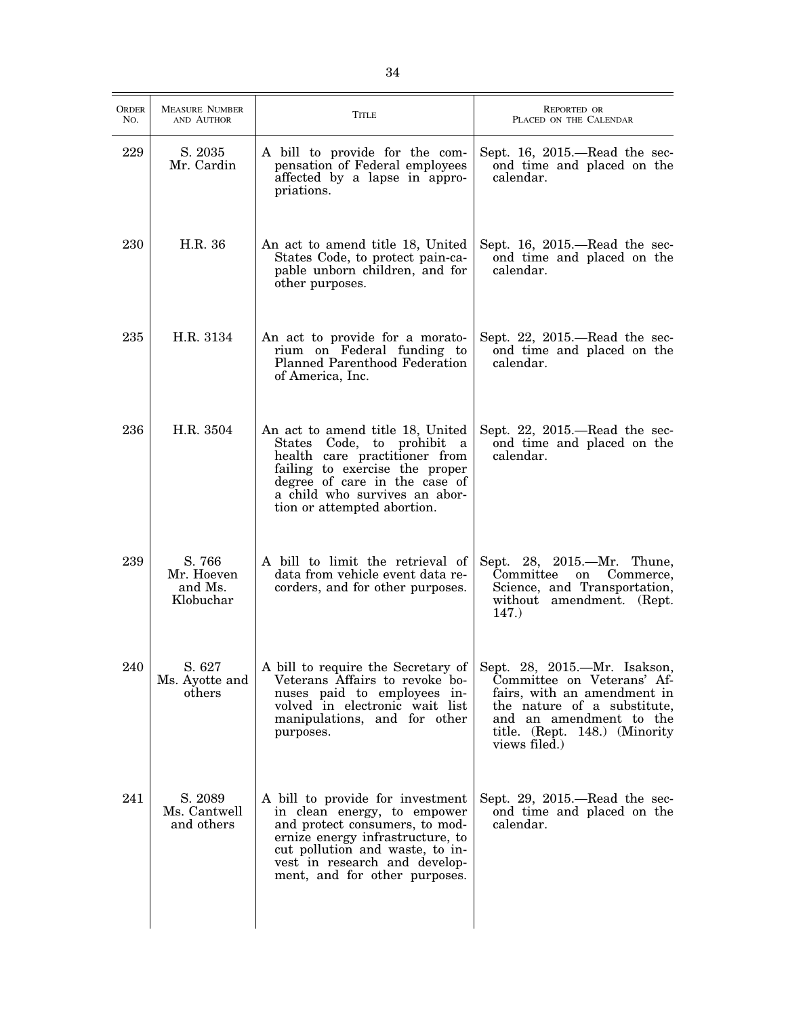| <b>ORDER</b><br>NO. | <b>MEASURE NUMBER</b><br>AND AUTHOR          | <b>TITLE</b>                                                                                                                                                                                                                               | <b>REPORTED OR</b><br>PLACED ON THE CALENDAR                                                                                                                                                          |
|---------------------|----------------------------------------------|--------------------------------------------------------------------------------------------------------------------------------------------------------------------------------------------------------------------------------------------|-------------------------------------------------------------------------------------------------------------------------------------------------------------------------------------------------------|
| 229                 | S. 2035<br>Mr. Cardin                        | A bill to provide for the com-<br>pensation of Federal employees<br>affected by a lapse in appro-<br>priations.                                                                                                                            | Sept. 16, 2015.—Read the sec-<br>ond time and placed on the<br>calendar.                                                                                                                              |
| 230                 | H.R. 36                                      | An act to amend title 18, United<br>States Code, to protect pain-ca-<br>pable unborn children, and for<br>other purposes.                                                                                                                  | Sept. 16, 2015.—Read the sec-<br>ond time and placed on the<br>calendar.                                                                                                                              |
| 235                 | H.R. 3134                                    | An act to provide for a morato-<br>rium on Federal funding to<br>Planned Parenthood Federation<br>of America, Inc.                                                                                                                         | Sept. 22, $2015$ —Read the sec-<br>ond time and placed on the<br>calendar.                                                                                                                            |
| 236                 | H.R. 3504                                    | An act to amend title 18, United<br>States Code, to prohibit a<br>health care practitioner from<br>failing to exercise the proper<br>degree of care in the case of<br>a child who survives an abor-<br>tion or attempted abortion.         | Sept. 22, 2015.-Read the sec-<br>ond time and placed on the<br>calendar.                                                                                                                              |
| 239                 | S. 766<br>Mr. Hoeven<br>and Ms.<br>Klobuchar | A bill to limit the retrieval of<br>data from vehicle event data re-<br>corders, and for other purposes.                                                                                                                                   | Sept. 28, 2015.—Mr. Thune,<br>Committee<br>Commerce,<br>on<br>Science, and Transportation,<br>without amendment. (Rept.<br>147.                                                                       |
| 240                 | S. 627<br>Ms. Ayotte and<br>others           | A bill to require the Secretary of<br>Veterans Affairs to revoke bo-<br>nuses paid to employees in-<br>volved in electronic wait list<br>manipulations, and for other<br>purposes.                                                         | Sept. 28, 2015.—Mr. Isakson,<br>Committee on Veterans' Af-<br>fairs, with an amendment in<br>the nature of a substitute,<br>and an amendment to the<br>title. (Rept. 148.) (Minority<br>views filed.) |
| 241                 | S. 2089<br>Ms. Cantwell<br>and others        | A bill to provide for investment<br>in clean energy, to empower<br>and protect consumers, to mod-<br>ernize energy infrastructure, to<br>cut pollution and waste, to in-<br>vest in research and develop-<br>ment, and for other purposes. | Sept. 29, 2015.—Read the sec-<br>ond time and placed on the<br>calendar.                                                                                                                              |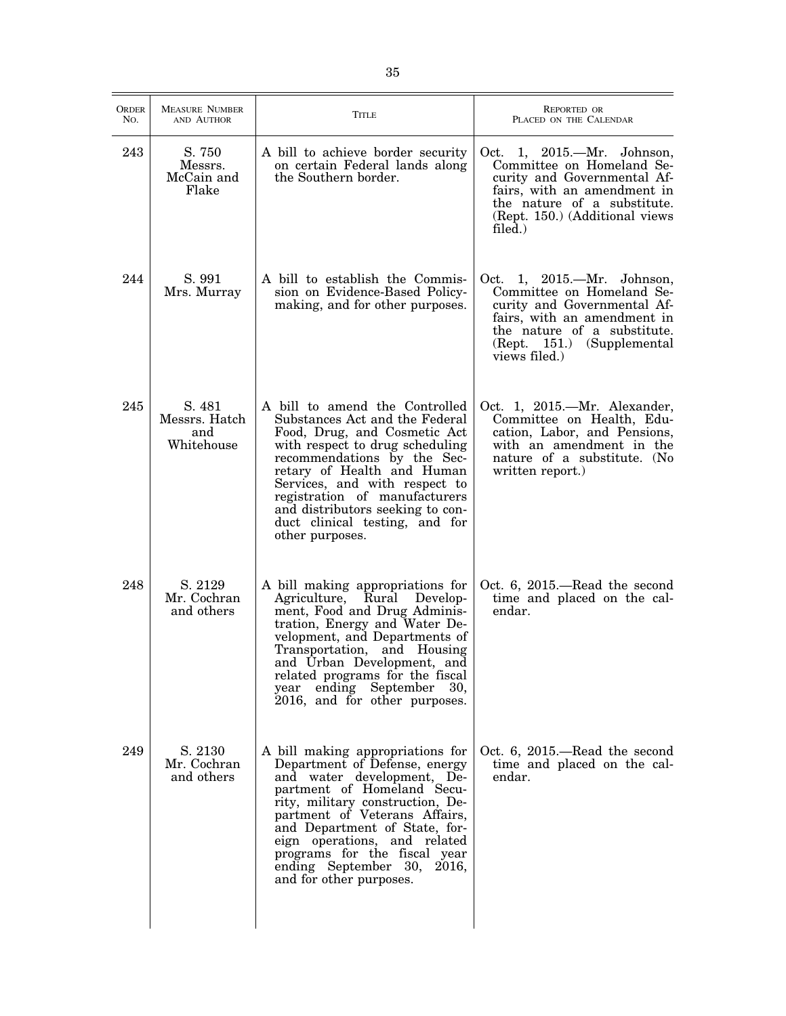| ORDER<br>No. | <b>MEASURE NUMBER</b><br>AND AUTHOR          | <b>TITLE</b>                                                                                                                                                                                                                                                                                                                                                 | REPORTED OR<br>PLACED ON THE CALENDAR                                                                                                                                                                     |
|--------------|----------------------------------------------|--------------------------------------------------------------------------------------------------------------------------------------------------------------------------------------------------------------------------------------------------------------------------------------------------------------------------------------------------------------|-----------------------------------------------------------------------------------------------------------------------------------------------------------------------------------------------------------|
| 243          | S. 750<br>Messrs.<br>McCain and<br>Flake     | A bill to achieve border security<br>on certain Federal lands along<br>the Southern border.                                                                                                                                                                                                                                                                  | Oct. 1, 2015.—Mr. Johnson,<br>Committee on Homeland Se-<br>curity and Governmental Af-<br>fairs, with an amendment in<br>the nature of a substitute.<br>(Rept. 150.) (Additional views<br>filed.)         |
| 244          | S. 991<br>Mrs. Murray                        | A bill to establish the Commis-<br>sion on Evidence-Based Policy-<br>making, and for other purposes.                                                                                                                                                                                                                                                         | $1, 2015$ . Mr. Johnson,<br>Oct.<br>Committee on Homeland Se-<br>curity and Governmental Af-<br>fairs, with an amendment in<br>the nature of a substitute.<br>(Rept. 151.) (Supplemental<br>views filed.) |
| 245          | S. 481<br>Messrs. Hatch<br>and<br>Whitehouse | A bill to amend the Controlled<br>Substances Act and the Federal<br>Food, Drug, and Cosmetic Act<br>with respect to drug scheduling<br>recommendations by the Sec-<br>retary of Health and Human<br>Services, and with respect to<br>registration of manufacturers<br>and distributors seeking to con-<br>duct clinical testing, and for<br>other purposes.  | Oct. 1, 2015.—Mr. Alexander,<br>Committee on Health, Edu-<br>cation, Labor, and Pensions,<br>with an amendment in the<br>nature of a substitute. (No<br>written report.)                                  |
| 248          | S. 2129<br>Mr. Cochran<br>and others         | A bill making appropriations for<br>Agriculture, Rural Develop-<br>ment, Food and Drug Adminis-<br>tration, Energy and Water De-<br>velopment, and Departments of<br>Transportation, and Housing<br>and Urban Development, and<br>related programs for the fiscal<br>ending September<br>year<br>30,<br>2016, and for other purposes.                        | Oct. 6, 2015.—Read the second<br>time and placed on the cal-<br>endar.                                                                                                                                    |
| 249          | S. 2130<br>Mr. Cochran<br>and others         | A bill making appropriations for<br>Department of Defense, energy<br>and water development, De-<br>partment of Homeland Secu-<br>rity, military construction, De-<br>partment of Veterans Affairs,<br>and Department of State, for-<br>eign operations, and related<br>programs for the fiscal year<br>ending September 30, 2016,<br>and for other purposes. | Oct. 6, 2015.—Read the second<br>time and placed on the cal-<br>endar.                                                                                                                                    |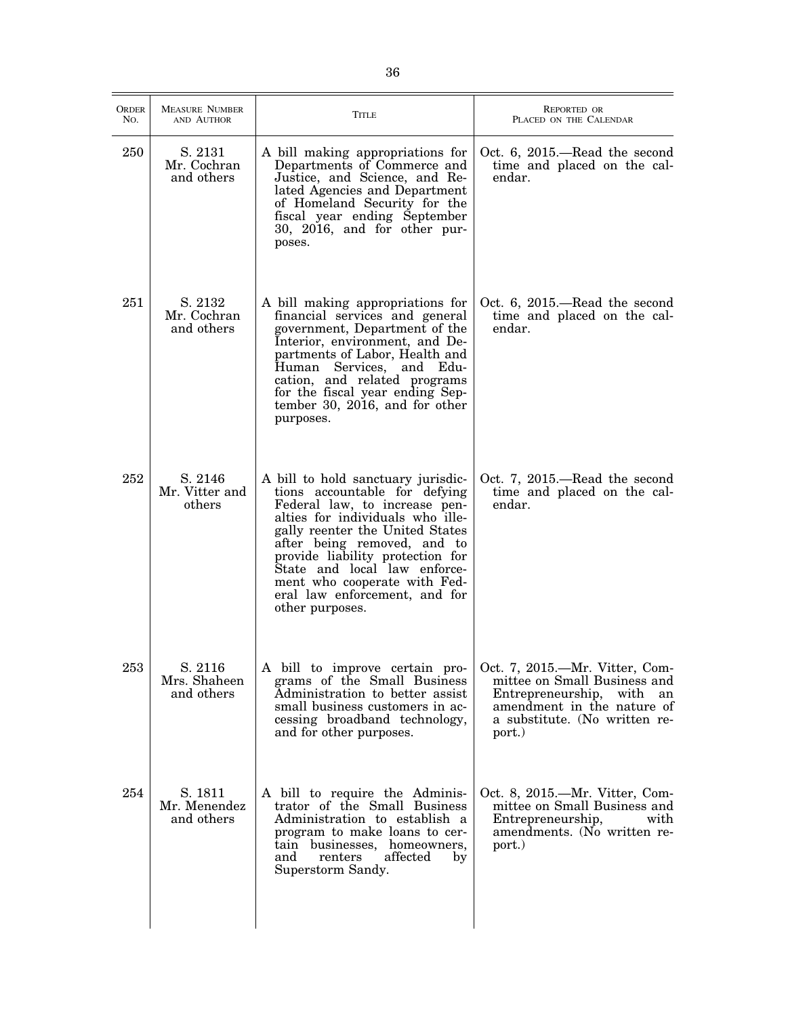| ORDER<br>No. | <b>MEASURE NUMBER</b><br>AND AUTHOR   | <b>TITLE</b>                                                                                                                                                                                                                                                                                                                                                       | <b>REPORTED OR</b><br>PLACED ON THE CALENDAR                                                                                                                            |
|--------------|---------------------------------------|--------------------------------------------------------------------------------------------------------------------------------------------------------------------------------------------------------------------------------------------------------------------------------------------------------------------------------------------------------------------|-------------------------------------------------------------------------------------------------------------------------------------------------------------------------|
| 250          | S. 2131<br>Mr. Cochran<br>and others  | A bill making appropriations for<br>Departments of Commerce and<br>Justice, and Science, and Re-<br>lated Agencies and Department<br>of Homeland Security for the<br>fiscal year ending September<br>30, 2016, and for other pur-<br>poses.                                                                                                                        | Oct. 6, 2015.—Read the second<br>time and placed on the cal-<br>endar.                                                                                                  |
| 251          | S. 2132<br>Mr. Cochran<br>and others  | A bill making appropriations for<br>financial services and general<br>government, Department of the<br>Interior, environment, and De-<br>partments of Labor, Health and<br>Human Services, and Edu-<br>cation, and related programs<br>for the fiscal year ending Sep-<br>tember 30, 2016, and for other<br>purposes.                                              | Oct. 6, 2015.—Read the second<br>time and placed on the cal-<br>endar.                                                                                                  |
| 252          | S. 2146<br>Mr. Vitter and<br>others   | A bill to hold sanctuary jurisdic-<br>tions accountable for defying<br>Federal law, to increase pen-<br>alties for individuals who ille-<br>gally reenter the United States<br>after being removed, and to<br>provide liability protection for<br>State and local law enforce-<br>ment who cooperate with Fed-<br>eral law enforcement, and for<br>other purposes. | Oct. 7, 2015.—Read the second<br>time and placed on the cal-<br>endar.                                                                                                  |
| 253          | S. 2116<br>Mrs. Shaheen<br>and others | A bill to improve certain pro-<br>grams of the Small Business<br>Administration to better assist<br>small business customers in ac-<br>cessing broadband technology,<br>and for other purposes.                                                                                                                                                                    | Oct. 7, 2015.—Mr. Vitter, Com-<br>mittee on Small Business and<br>Entrepreneurship, with<br>an<br>amendment in the nature of<br>a substitute. (No written re-<br>port.) |
| 254          | S. 1811<br>Mr. Menendez<br>and others | A bill to require the Adminis-<br>trator of the Small Business<br>Administration to establish a<br>program to make loans to cer-<br>tain businesses, homeowners,<br>renters<br>affected<br>and<br>by<br>Superstorm Sandy.                                                                                                                                          | Oct. 8, 2015.—Mr. Vitter, Com-<br>mittee on Small Business and<br>Entrepreneurship,<br>with<br>amendments. (No written re-<br>port.)                                    |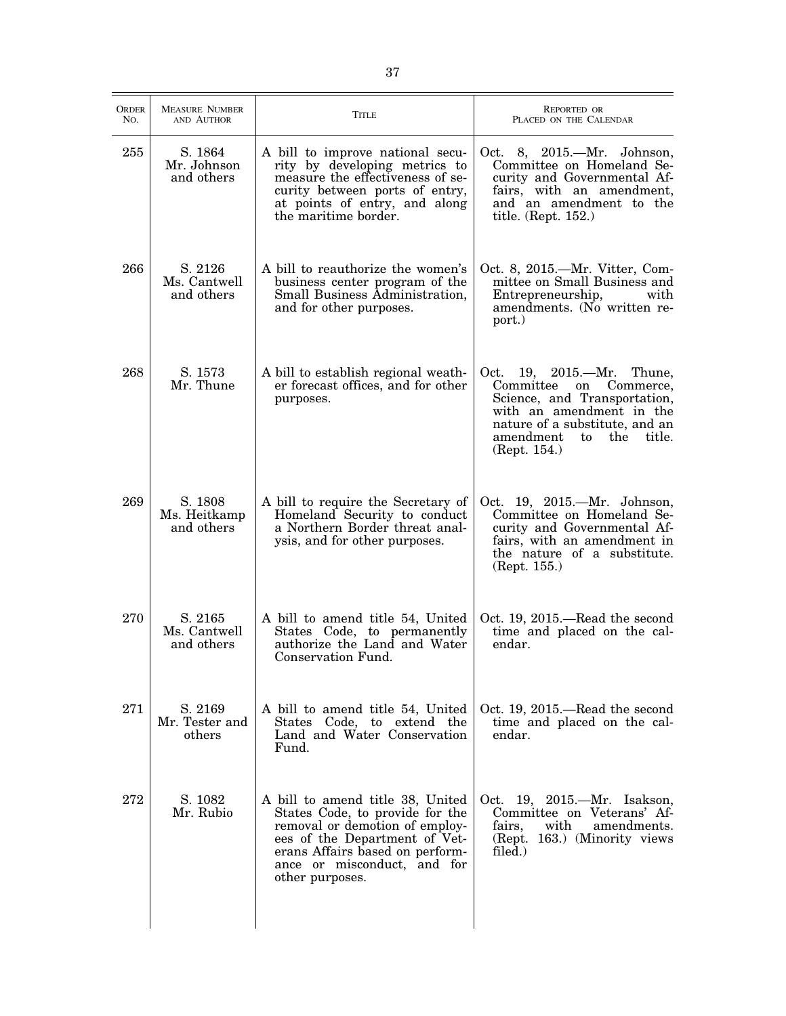| ORDER<br>No. | <b>MEASURE NUMBER</b><br>AND AUTHOR   | TITLE                                                                                                                                                                                                                       | <b>REPORTED OR</b><br>PLACED ON THE CALENDAR                                                                                                                                                                             |
|--------------|---------------------------------------|-----------------------------------------------------------------------------------------------------------------------------------------------------------------------------------------------------------------------------|--------------------------------------------------------------------------------------------------------------------------------------------------------------------------------------------------------------------------|
| 255          | S. 1864<br>Mr. Johnson<br>and others  | A bill to improve national secu-<br>rity by developing metrics to<br>measure the effectiveness of se-<br>curity between ports of entry,<br>at points of entry, and along<br>the maritime border.                            | Oct. 8, 2015.—Mr. Johnson,<br>Committee on Homeland Se-<br>curity and Governmental Af-<br>fairs, with an amendment,<br>and an amendment to the<br>title. (Rept. 152.)                                                    |
| 266          | S. 2126<br>Ms. Cantwell<br>and others | A bill to reauthorize the women's<br>business center program of the<br>Small Business Administration,<br>and for other purposes.                                                                                            | Oct. 8, 2015.—Mr. Vitter, Com-<br>mittee on Small Business and<br>Entrepreneurship,<br>with<br>amendments. (No written re-<br>port.)                                                                                     |
| 268          | S. 1573<br>Mr. Thune                  | A bill to establish regional weath-<br>er forecast offices, and for other<br>purposes.                                                                                                                                      | $19, 2015$ . --- Mr.<br>Oct.<br>Thune,<br>Committee<br>on<br>Commerce,<br>Science, and Transportation,<br>with an amendment in the<br>nature of a substitute, and an<br>amendment<br>to<br>the<br>title.<br>(Rept. 154.) |
| 269          | S. 1808<br>Ms. Heitkamp<br>and others | A bill to require the Secretary of<br>Homeland Security to conduct<br>a Northern Border threat anal-<br>ysis, and for other purposes.                                                                                       | Oct. 19, 2015.—Mr. Johnson,<br>Committee on Homeland Se-<br>curity and Governmental Af-<br>fairs, with an amendment in<br>the nature of a substitute.<br>(Rept. 155.)                                                    |
| 270          | S. 2165<br>Ms. Cantwell<br>and others | A bill to amend title 54, United<br>States Code, to permanently<br>authorize the Land and Water<br>Conservation Fund.                                                                                                       | Oct. 19, 2015.—Read the second<br>time and placed on the cal-<br>endar.                                                                                                                                                  |
| 271          | S. 2169<br>Mr. Tester and<br>others   | A bill to amend title 54, United<br>States Code, to extend the<br>Land and Water Conservation<br>Fund.                                                                                                                      | Oct. 19, 2015.—Read the second<br>time and placed on the cal-<br>endar.                                                                                                                                                  |
| 272          | S. 1082<br>Mr. Rubio                  | A bill to amend title 38, United<br>States Code, to provide for the<br>removal or demotion of employ-<br>ees of the Department of Vet-<br>erans Affairs based on perform-<br>ance or misconduct, and for<br>other purposes. | Oct. 19, 2015.—Mr. Isakson,<br>Committee on Veterans' Af-<br>with<br>amendments.<br>fairs.<br>(Rept. 163.) (Minority views<br>filed.)                                                                                    |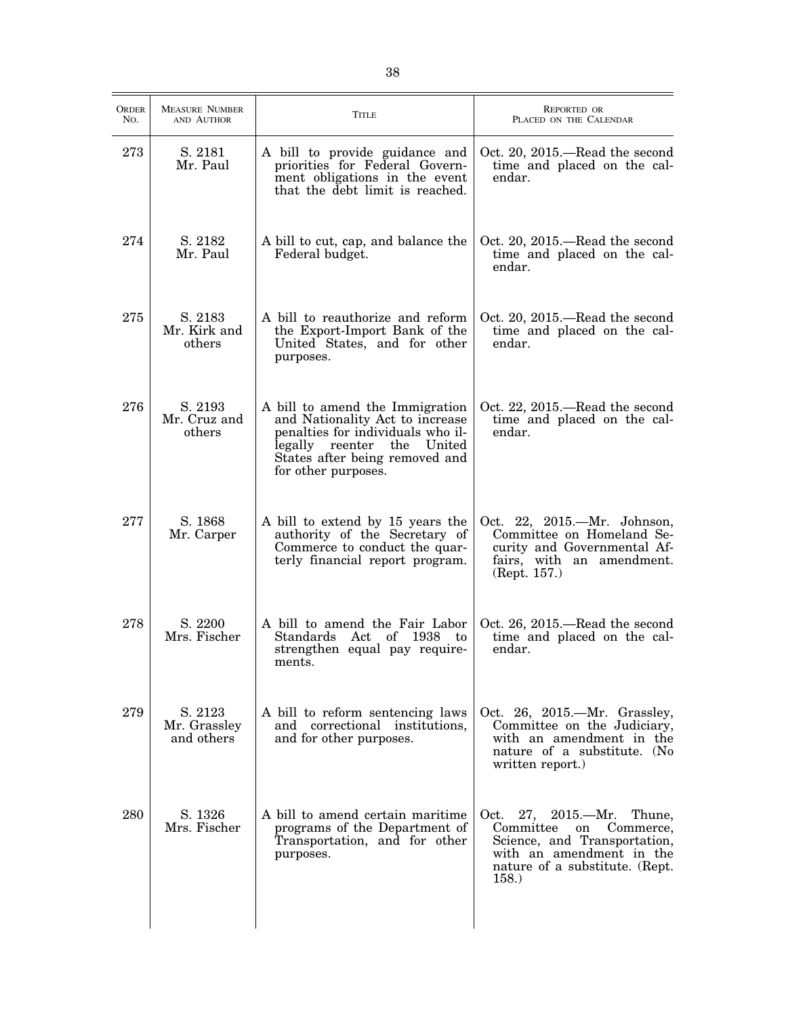| ORDER<br>No. | <b>MEASURE NUMBER</b><br>AND AUTHOR   | <b>TITLE</b>                                                                                                                                                                                   | <b>REPORTED OR</b><br>PLACED ON THE CALENDAR                                                                                                                             |
|--------------|---------------------------------------|------------------------------------------------------------------------------------------------------------------------------------------------------------------------------------------------|--------------------------------------------------------------------------------------------------------------------------------------------------------------------------|
| 273          | S. 2181<br>Mr. Paul                   | A bill to provide guidance and<br>priorities for Federal Govern-<br>ment obligations in the event<br>that the debt limit is reached.                                                           | Oct. 20, 2015.—Read the second<br>time and placed on the cal-<br>endar.                                                                                                  |
| 274          | S. 2182<br>Mr. Paul                   | A bill to cut, cap, and balance the<br>Federal budget.                                                                                                                                         | Oct. 20, 2015.—Read the second<br>time and placed on the cal-<br>endar.                                                                                                  |
| 275          | S. 2183<br>Mr. Kirk and<br>others     | A bill to reauthorize and reform<br>the Export-Import Bank of the<br>United States, and for other<br>purposes.                                                                                 | Oct. 20, 2015.—Read the second<br>time and placed on the cal-<br>endar.                                                                                                  |
| 276          | S. 2193<br>Mr. Cruz and<br>others     | A bill to amend the Immigration<br>and Nationality Act to increase<br>penalties for individuals who il-<br>legally reenter the United<br>States after being removed and<br>for other purposes. | Oct. 22, 2015.—Read the second<br>time and placed on the cal-<br>endar.                                                                                                  |
| 277          | S. 1868<br>Mr. Carper                 | A bill to extend by 15 years the<br>authority of the Secretary of<br>Commerce to conduct the quar-<br>terly financial report program.                                                          | Oct. 22, 2015.—Mr. Johnson,<br>Committee on Homeland Se-<br>curity and Governmental Af-<br>fairs, with an amendment.<br>(Rept. 157.)                                     |
| 278          | S. 2200<br>Mrs. Fischer               | A bill to amend the Fair Labor<br>Standards<br>Act of 1938 to<br>strengthen equal pay require-<br>ments.                                                                                       | Oct. 26, 2015.—Read the second<br>time and placed on the cal-<br>endar.                                                                                                  |
| 279          | S. 2123<br>Mr. Grassley<br>and others | A bill to reform sentencing laws<br>and correctional institutions,<br>and for other purposes.                                                                                                  | Oct. 26, 2015.—Mr. Grassley,<br>Committee on the Judiciary,<br>with an amendment in the<br>nature of a substitute. (No<br>written report.)                               |
| 280          | S. 1326<br>Mrs. Fischer               | A bill to amend certain maritime.<br>programs of the Department of<br>Transportation, and for other<br>purposes.                                                                               | $27, 2015$ .—Mr.<br>Thune,<br>Oct.<br>Committee<br>on<br>Commerce,<br>Science, and Transportation,<br>with an amendment in the<br>nature of a substitute. (Rept.<br>158. |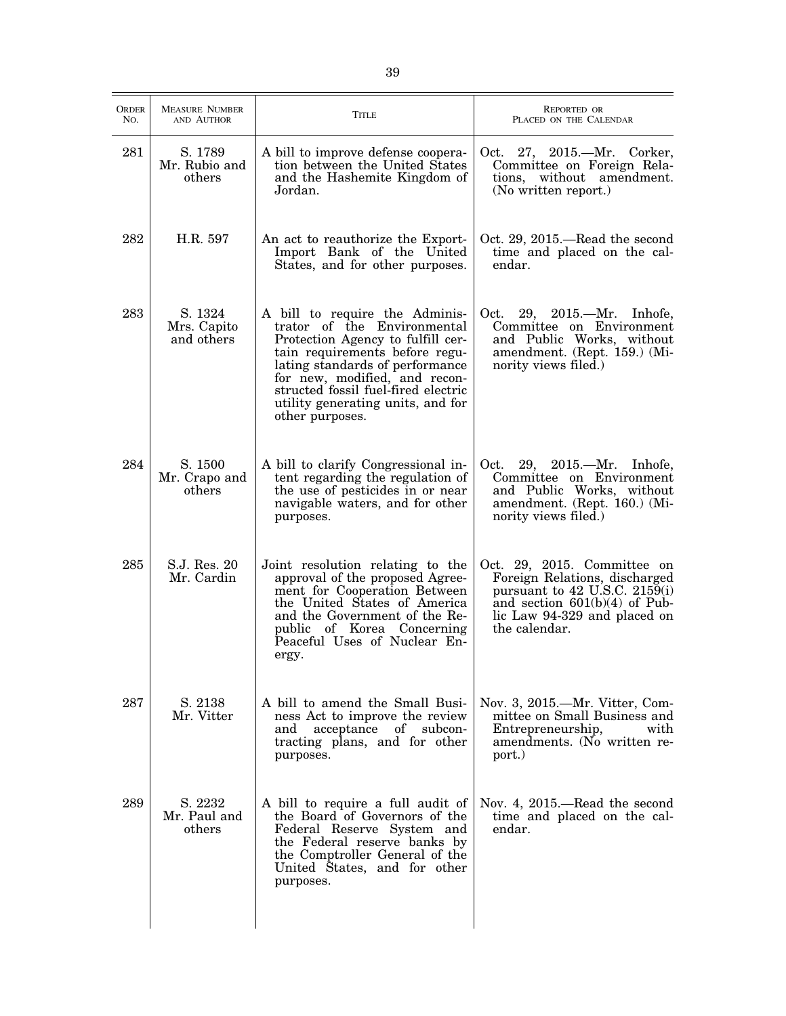| <b>ORDER</b><br>No. | <b>MEASURE NUMBER</b><br>AND AUTHOR  | TITLE                                                                                                                                                                                                                                                                                                   | <b>REPORTED OR</b><br>PLACED ON THE CALENDAR                                                                                                                                          |
|---------------------|--------------------------------------|---------------------------------------------------------------------------------------------------------------------------------------------------------------------------------------------------------------------------------------------------------------------------------------------------------|---------------------------------------------------------------------------------------------------------------------------------------------------------------------------------------|
| 281                 | S. 1789<br>Mr. Rubio and<br>others   | A bill to improve defense coopera-<br>tion between the United States<br>and the Hashemite Kingdom of<br>Jordan.                                                                                                                                                                                         | Oct. 27, 2015.—Mr. Corker,<br>Committee on Foreign Rela-<br>tions, without amendment.<br>(No written report.)                                                                         |
| 282                 | H.R. 597                             | An act to reauthorize the Export-<br>Import Bank of the United<br>States, and for other purposes.                                                                                                                                                                                                       | Oct. 29, 2015.—Read the second<br>time and placed on the cal-<br>endar.                                                                                                               |
| 283                 | S. 1324<br>Mrs. Capito<br>and others | A bill to require the Adminis-<br>trator of the Environmental<br>Protection Agency to fulfill cer-<br>tain requirements before regu-<br>lating standards of performance<br>for new, modified, and recon-<br>structed fossil fuel-fired electric<br>utility generating units, and for<br>other purposes. | 29, 2015.—Mr. Inhofe,<br>Oct.<br>Committee on Environment<br>and Public Works, without<br>amendment. (Rept. 159.) (Mi-<br>nority views filed.)                                        |
| 284                 | S. 1500<br>Mr. Crapo and<br>others   | A bill to clarify Congressional in-<br>tent regarding the regulation of<br>the use of pesticides in or near<br>navigable waters, and for other<br>purposes.                                                                                                                                             | 29, 2015. - Mr. Inhofe,<br>Oct.<br>Committee on Environment<br>and Public Works, without<br>amendment. (Rept. 160.) (Mi-<br>nority views filed.)                                      |
| 285                 | S.J. Res. 20<br>Mr. Cardin           | Joint resolution relating to the<br>approval of the proposed Agree-<br>ment for Cooperation Between<br>the United States of America<br>and the Government of the Re-<br>public of Korea Concerning<br>Peaceful Uses of Nuclear En-<br>ergy.                                                             | Oct. 29, 2015. Committee on<br>Foreign Relations, discharged<br>pursuant to $42$ U.S.C. $2159(i)$<br>and section $601(b)(4)$ of Pub-<br>lic Law 94-329 and placed on<br>the calendar. |
| 287                 | S. 2138<br>Mr. Vitter                | A bill to amend the Small Busi-<br>ness Act to improve the review<br>and acceptance of subcon-<br>tracting plans, and for other<br>purposes.                                                                                                                                                            | Nov. 3, 2015.—Mr. Vitter, Com-<br>mittee on Small Business and<br>Entrepreneurship,<br>with<br>amendments. (No written re-<br>port.)                                                  |
| 289                 | S. 2232<br>Mr. Paul and<br>others    | A bill to require a full audit of<br>the Board of Governors of the<br>Federal Reserve System and<br>the Federal reserve banks by<br>the Comptroller General of the<br>United States, and for other<br>purposes.                                                                                         | Nov. 4, 2015.—Read the second<br>time and placed on the cal-<br>endar.                                                                                                                |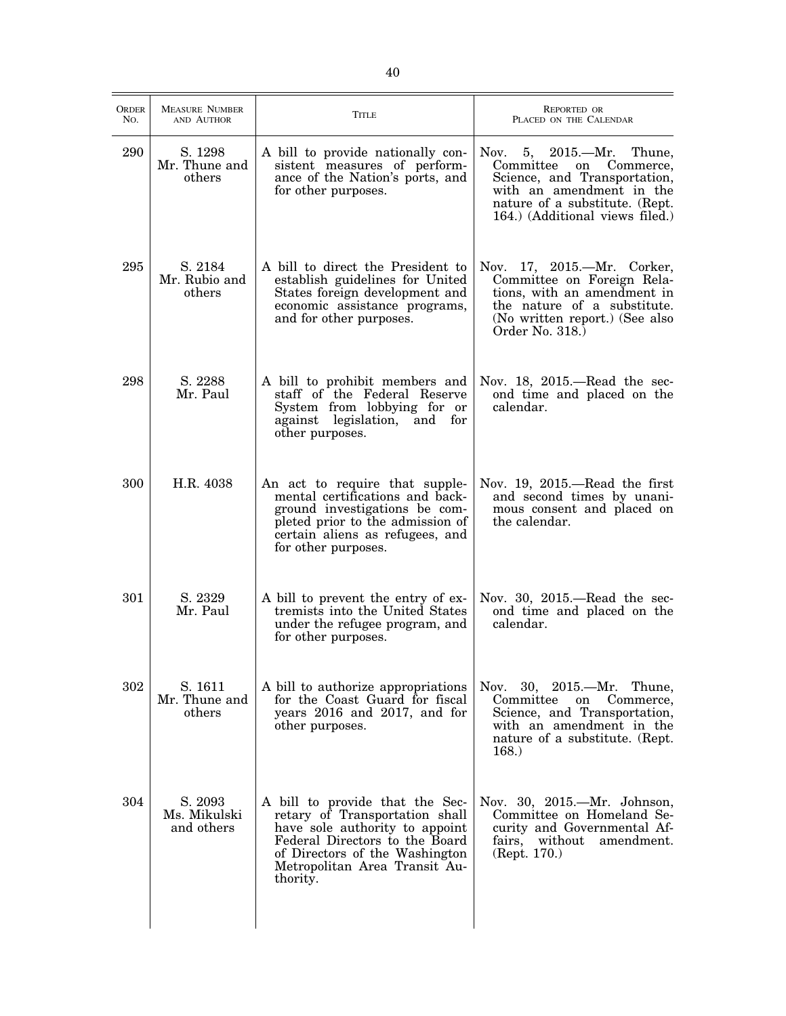| <b>ORDER</b><br>No. | <b>MEASURE NUMBER</b><br>AND AUTHOR   | <b>TITLE</b>                                                                                                                                                                                                         | <b>REPORTED OR</b><br>PLACED ON THE CALENDAR                                                                                                                                              |
|---------------------|---------------------------------------|----------------------------------------------------------------------------------------------------------------------------------------------------------------------------------------------------------------------|-------------------------------------------------------------------------------------------------------------------------------------------------------------------------------------------|
| 290                 | S. 1298<br>Mr. Thune and<br>others    | A bill to provide nationally con-<br>sistent measures of perform-<br>ance of the Nation's ports, and<br>for other purposes.                                                                                          | Nov. 5, 2015.—Mr. Thune,<br>Commerce,<br>Committee<br>on<br>Science, and Transportation,<br>with an amendment in the<br>nature of a substitute. (Rept.<br>164.) (Additional views filed.) |
| 295                 | S. 2184<br>Mr. Rubio and<br>others    | A bill to direct the President to<br>establish guidelines for United<br>States foreign development and<br>economic assistance programs,<br>and for other purposes.                                                   | Nov. 17, 2015.—Mr. Corker,<br>Committee on Foreign Rela-<br>tions, with an amendment in<br>the nature of a substitute.<br>(No written report.) (See also<br>Order No. 318.                |
| 298                 | S. 2288<br>Mr. Paul                   | A bill to prohibit members and<br>staff of the Federal Reserve<br>System from lobbying for or<br>against legislation, and<br>for<br>other purposes.                                                                  | Nov. $18$ , $2015$ —Read the sec-<br>ond time and placed on the<br>calendar.                                                                                                              |
| 300                 | H.R. 4038                             | An act to require that supple-<br>mental certifications and back-<br>ground investigations be com-<br>pleted prior to the admission of<br>certain aliens as refugees, and<br>for other purposes.                     | Nov. 19, 2015.—Read the first<br>and second times by unani-<br>mous consent and placed on<br>the calendar.                                                                                |
| 301                 | S. 2329<br>Mr. Paul                   | A bill to prevent the entry of ex-<br>tremists into the United States<br>under the refugee program, and<br>for other purposes.                                                                                       | Nov. 30, 2015.-Read the sec-<br>ond time and placed on the<br>calendar.                                                                                                                   |
| 302                 | S. 1611<br>Mr. Thune and<br>others    | A bill to authorize appropriations<br>for the Coast Guard for fiscal<br>years 2016 and 2017, and for<br>other purposes.                                                                                              | Nov. 30, 2015.—Mr. Thune,<br>Committee<br>Commerce,<br>on<br>Science, and Transportation,<br>with an amendment in the<br>nature of a substitute. (Rept.<br>168.                           |
| 304                 | S. 2093<br>Ms. Mikulski<br>and others | A bill to provide that the Sec-<br>retary of Transportation shall<br>have sole authority to appoint<br>Federal Directors to the Board<br>of Directors of the Washington<br>Metropolitan Area Transit Au-<br>thority. | Nov. 30, 2015.—Mr. Johnson,<br>Committee on Homeland Se-<br>curity and Governmental Af-<br>fairs, without<br>amendment.<br>(Rept. 170.)                                                   |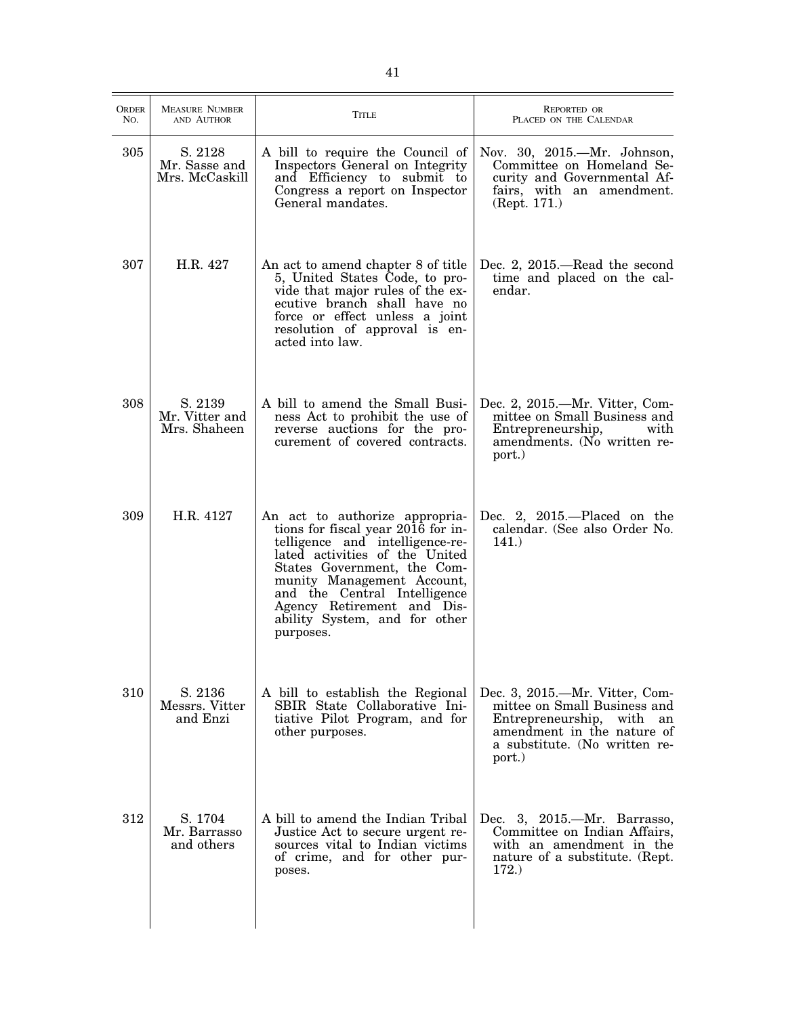| <b>ORDER</b><br>No. | <b>MEASURE NUMBER</b><br>AND AUTHOR        | <b>TITLE</b>                                                                                                                                                                                                                                                                                                       | <b>REPORTED OR</b><br>PLACED ON THE CALENDAR                                                                                                                            |
|---------------------|--------------------------------------------|--------------------------------------------------------------------------------------------------------------------------------------------------------------------------------------------------------------------------------------------------------------------------------------------------------------------|-------------------------------------------------------------------------------------------------------------------------------------------------------------------------|
| 305                 | S. 2128<br>Mr. Sasse and<br>Mrs. McCaskill | A bill to require the Council of<br>Inspectors General on Integrity<br>and Efficiency to submit to<br>Congress a report on Inspector<br>General mandates.                                                                                                                                                          | Nov. 30, 2015.-Mr. Johnson,<br>Committee on Homeland Se-<br>curity and Governmental Af-<br>fairs, with an amendment.<br>(Rept. 171.)                                    |
| 307                 | H.R. 427                                   | An act to amend chapter 8 of title<br>5, United States Code, to pro-<br>vide that major rules of the ex-<br>ecutive branch shall have no<br>force or effect unless a joint<br>resolution of approval is en-<br>acted into law.                                                                                     | Dec. 2, 2015.—Read the second<br>time and placed on the cal-<br>endar.                                                                                                  |
| 308                 | S. 2139<br>Mr. Vitter and<br>Mrs. Shaheen  | A bill to amend the Small Busi-<br>ness Act to prohibit the use of<br>reverse auctions for the pro-<br>curement of covered contracts.                                                                                                                                                                              | Dec. 2, 2015.—Mr. Vitter, Com-<br>mittee on Small Business and<br>Entrepreneurship,<br>with<br>amendments. (No written re-<br>port.)                                    |
| 309                 | H.R. 4127                                  | An act to authorize appropria-<br>tions for fiscal year 2016 for in-<br>telligence and intelligence-re-<br>lated activities of the United<br>States Government, the Com-<br>munity Management Account,<br>and the Central Intelligence<br>Agency Retirement and Dis-<br>ability System, and for other<br>purposes. | Dec. 2, $2015$ . Placed on the<br>calendar. (See also Order No.<br>141.)                                                                                                |
| 310                 | S. 2136<br>Messrs. Vitter<br>and Enzi      | A bill to establish the Regional<br>SBIR State Collaborative Ini-<br>tiative Pilot Program, and for<br>other purposes.                                                                                                                                                                                             | Dec. 3, 2015.—Mr. Vitter, Com-<br>mittee on Small Business and<br>Entrepreneurship, with<br>an<br>amendment in the nature of<br>a substitute. (No written re-<br>port.) |
| 312                 | S. 1704<br>Mr. Barrasso<br>and others      | A bill to amend the Indian Tribal<br>Justice Act to secure urgent re-<br>sources vital to Indian victims<br>of crime, and for other pur-<br>poses.                                                                                                                                                                 | Dec. 3, 2015.—Mr. Barrasso,<br>Committee on Indian Affairs,<br>with an amendment in the<br>nature of a substitute. (Rept.<br>172.)                                      |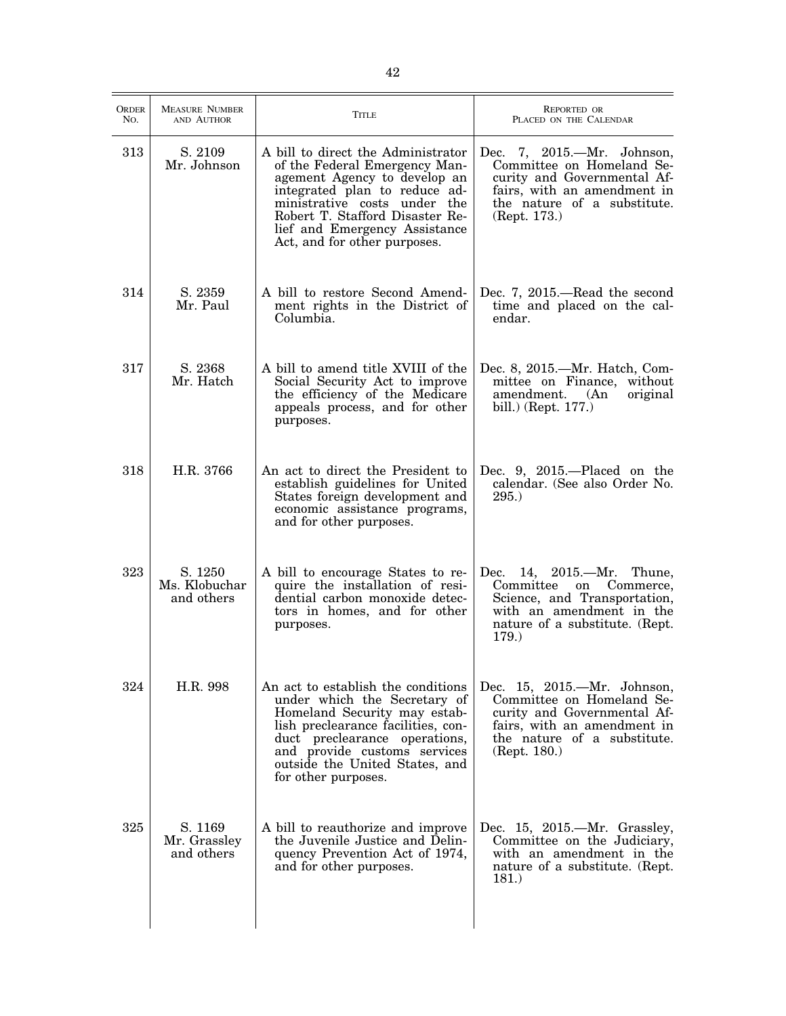| ORDER<br>No. | <b>MEASURE NUMBER</b><br>AND AUTHOR    | TITLE                                                                                                                                                                                                                                                                    | <b>REPORTED OR</b><br>PLACED ON THE CALENDAR                                                                                                                             |
|--------------|----------------------------------------|--------------------------------------------------------------------------------------------------------------------------------------------------------------------------------------------------------------------------------------------------------------------------|--------------------------------------------------------------------------------------------------------------------------------------------------------------------------|
| 313          | S. 2109<br>Mr. Johnson                 | A bill to direct the Administrator<br>of the Federal Emergency Man-<br>agement Agency to develop an<br>integrated plan to reduce ad-<br>ministrative costs under the<br>Robert T. Stafford Disaster Re-<br>lief and Emergency Assistance<br>Act, and for other purposes. | Dec. 7, 2015.—Mr. Johnson,<br>Committee on Homeland Se-<br>curity and Governmental Af-<br>fairs, with an amendment in<br>the nature of a substitute.<br>(Rept. 173.)     |
| 314          | S. 2359<br>Mr. Paul                    | A bill to restore Second Amend-<br>ment rights in the District of<br>Columbia.                                                                                                                                                                                           | Dec. 7, 2015.—Read the second<br>time and placed on the cal-<br>endar.                                                                                                   |
| 317          | S. 2368<br>Mr. Hatch                   | A bill to amend title XVIII of the<br>Social Security Act to improve<br>the efficiency of the Medicare<br>appeals process, and for other<br>purposes.                                                                                                                    | Dec. 8, 2015.—Mr. Hatch, Com-<br>mittee on Finance, without<br>amendment.<br>original<br>(An)<br>bill.) (Rept. 177.)                                                     |
| 318          | H.R. 3766                              | An act to direct the President to<br>establish guidelines for United<br>States foreign development and<br>economic assistance programs,<br>and for other purposes.                                                                                                       | Dec. 9, $2015$ .—Placed on the<br>calendar. (See also Order No.<br>295.)                                                                                                 |
| 323          | S. 1250<br>Ms. Klobuchar<br>and others | A bill to encourage States to re-<br>quire the installation of resi-<br>dential carbon monoxide detec-<br>tors in homes, and for other<br>purposes.                                                                                                                      | Dec. $14, 2015$ . - Mr.<br>Thune,<br>Committee<br>on<br>Commerce,<br>Science, and Transportation,<br>with an amendment in the<br>nature of a substitute. (Rept.<br>179.) |
| 324          | H.R. 998                               | An act to establish the conditions<br>under which the Secretary of<br>Homeland Security may estab-<br>lish preclearance facilities, con-<br>duct preclearance operations,<br>and provide customs services<br>outside the United States, and<br>for other purposes.       | Dec. 15, 2015.—Mr. Johnson,<br>Committee on Homeland Se-<br>curity and Governmental Af-<br>fairs, with an amendment in<br>the nature of a substitute.<br>(Rept. 180.)    |
| 325          | S. 1169<br>Mr. Grassley<br>and others  | A bill to reauthorize and improve<br>the Juvenile Justice and Delin-<br>quency Prevention Act of 1974,<br>and for other purposes.                                                                                                                                        | Dec. 15, 2015.—Mr. Grassley,<br>Committee on the Judiciary,<br>with an amendment in the<br>nature of a substitute. (Rept.<br>181.)                                       |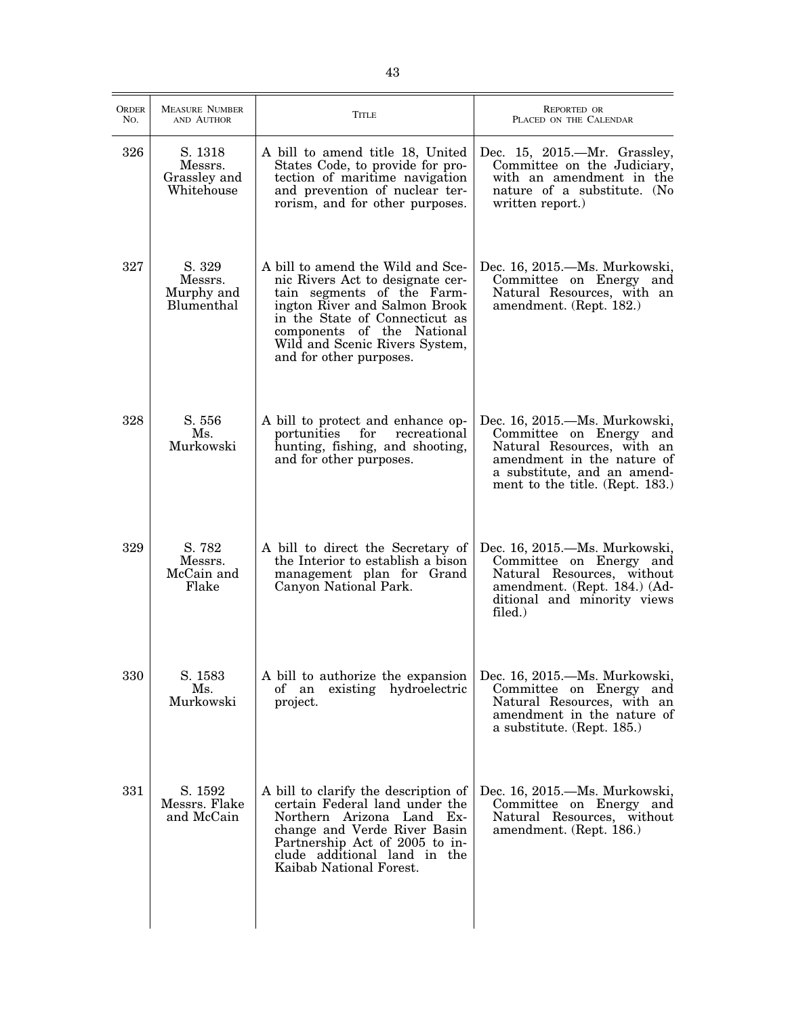| <b>ORDER</b><br>No. | <b>MEASURE NUMBER</b><br>AND AUTHOR              | <b>TITLE</b>                                                                                                                                                                                                                                                      | <b>REPORTED OR</b><br>PLACED ON THE CALENDAR                                                                                                                                           |
|---------------------|--------------------------------------------------|-------------------------------------------------------------------------------------------------------------------------------------------------------------------------------------------------------------------------------------------------------------------|----------------------------------------------------------------------------------------------------------------------------------------------------------------------------------------|
| 326                 | S. 1318<br>Messrs.<br>Grassley and<br>Whitehouse | A bill to amend title 18, United<br>States Code, to provide for pro-<br>tection of maritime navigation<br>and prevention of nuclear ter-<br>rorism, and for other purposes.                                                                                       | Dec. 15, 2015.—Mr. Grassley,<br>Committee on the Judiciary,<br>with an amendment in the<br>nature of a substitute. (No<br>written report.)                                             |
| 327                 | S. 329<br>Messrs.<br>Murphy and<br>Blumenthal    | A bill to amend the Wild and Sce-<br>nic Rivers Act to designate cer-<br>tain segments of the Farm-<br>ington River and Salmon Brook<br>in the State of Connecticut as<br>components of the National<br>Wild and Scenic Rivers System,<br>and for other purposes. | Dec. 16, 2015.—Ms. Murkowski,<br>Committee on Energy and<br>Natural Resources, with an<br>amendment. (Rept. 182.)                                                                      |
| 328                 | S. 556<br>Ms.<br>Murkowski                       | A bill to protect and enhance op-<br>portunities<br>for<br>recreational<br>hunting, fishing, and shooting,<br>and for other purposes.                                                                                                                             | Dec. 16, 2015.—Ms. Murkowski,<br>Committee on Energy and<br>Natural Resources, with an<br>amendment in the nature of<br>a substitute, and an amend-<br>ment to the title. (Rept. 183.) |
| 329                 | S. 782<br>Messrs.<br>McCain and<br>Flake         | A bill to direct the Secretary of<br>the Interior to establish a bison<br>management plan for Grand<br>Canyon National Park.                                                                                                                                      | Dec. 16, 2015.—Ms. Murkowski,<br>Committee on Energy and<br>Natural Resources, without<br>amendment. (Rept. 184.) (Ad-<br>ditional and minority views<br>filed.)                       |
| 330                 | S. 1583<br>Ms.<br>Murkowski                      | A bill to authorize the expansion<br>of an existing hydroelectric<br>project.                                                                                                                                                                                     | Dec. 16, 2015.—Ms. Murkowski,<br>Committee on Energy and<br>Natural Resources, with an<br>amendment in the nature of<br>a substitute. (Rept. 185.)                                     |
| 331                 | S. 1592<br>Messrs. Flake<br>and McCain           | A bill to clarify the description of<br>certain Federal land under the<br>Northern Arizona Land Ex-<br>change and Verde River Basin<br>Partnership Act of 2005 to in-<br>clude additional land in the<br>Kaibab National Forest.                                  | Dec. 16, 2015.—Ms. Murkowski,<br>Committee on Energy and<br>Natural Resources, without<br>amendment. (Rept. 186.)                                                                      |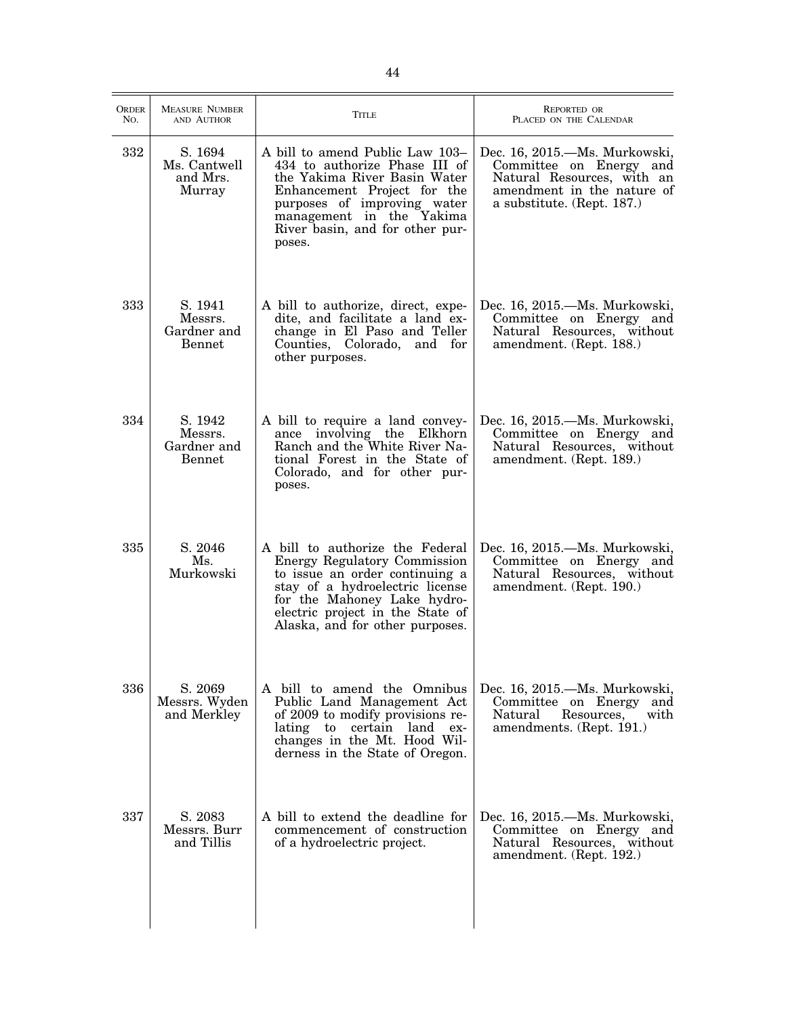| <b>ORDER</b><br>No. | <b>MEASURE NUMBER</b><br>AND AUTHOR                | <b>TITLE</b>                                                                                                                                                                                                                               | REPORTED OR<br>PLACED ON THE CALENDAR                                                                                                              |
|---------------------|----------------------------------------------------|--------------------------------------------------------------------------------------------------------------------------------------------------------------------------------------------------------------------------------------------|----------------------------------------------------------------------------------------------------------------------------------------------------|
| 332                 | S. 1694<br>Ms. Cantwell<br>and Mrs.<br>Murray      | A bill to amend Public Law 103-<br>434 to authorize Phase III of<br>the Yakima River Basin Water<br>Enhancement Project for the<br>purposes of improving water<br>management in the Yakima<br>River basin, and for other pur-<br>poses.    | Dec. 16, 2015.—Ms. Murkowski,<br>Committee on Energy and<br>Natural Resources, with an<br>amendment in the nature of<br>a substitute. (Rept. 187.) |
| 333                 | S. 1941<br>Messrs.<br>Gardner and<br><b>Bennet</b> | A bill to authorize, direct, expe-<br>dite, and facilitate a land ex-<br>change in El Paso and Teller<br>Counties, Colorado, and for<br>other purposes.                                                                                    | Dec. 16, 2015.—Ms. Murkowski,<br>Committee on Energy and<br>Natural Resources, without<br>amendment. (Rept. 188.)                                  |
| 334                 | S. 1942<br>Messrs.<br>Gardner and<br>Bennet        | A bill to require a land convey-<br>ance involving the Elkhorn<br>Ranch and the White River Na-<br>tional Forest in the State of<br>Colorado, and for other pur-<br>poses.                                                                 | Dec. 16, 2015.—Ms. Murkowski,<br>Committee on Energy and<br>Natural Resources, without<br>amendment. (Rept. 189.)                                  |
| 335                 | S. 2046<br>Ms.<br>Murkowski                        | A bill to authorize the Federal<br>Energy Regulatory Commission<br>to issue an order continuing a<br>stay of a hydroelectric license<br>for the Mahoney Lake hydro-<br>electric project in the State of<br>Alaska, and for other purposes. | Dec. 16, 2015.—Ms. Murkowski,<br>Committee on Energy and<br>Natural Resources, without<br>amendment. (Rept. 190.)                                  |
| 336                 | S. 2069<br>Messrs. Wyden<br>and Merkley            | A bill to amend the Omnibus<br>Public Land Management Act<br>of 2009 to modify provisions re-<br>lating to certain land<br>$ex-$<br>changes in the Mt. Hood Wil-<br>derness in the State of Oregon.                                        | Dec. 16, 2015.—Ms. Murkowski,<br>Committee on Energy and<br>Resources,<br>Natural<br>with<br>amendments. (Rept. 191.)                              |
| 337                 | S. 2083<br>Messrs. Burr<br>and Tillis              | A bill to extend the deadline for<br>commencement of construction<br>of a hydroelectric project.                                                                                                                                           | Dec. 16, 2015. Ms. Murkowski,<br>Committee on Energy and<br>Natural Resources, without<br>amendment. (Rept. 192.)                                  |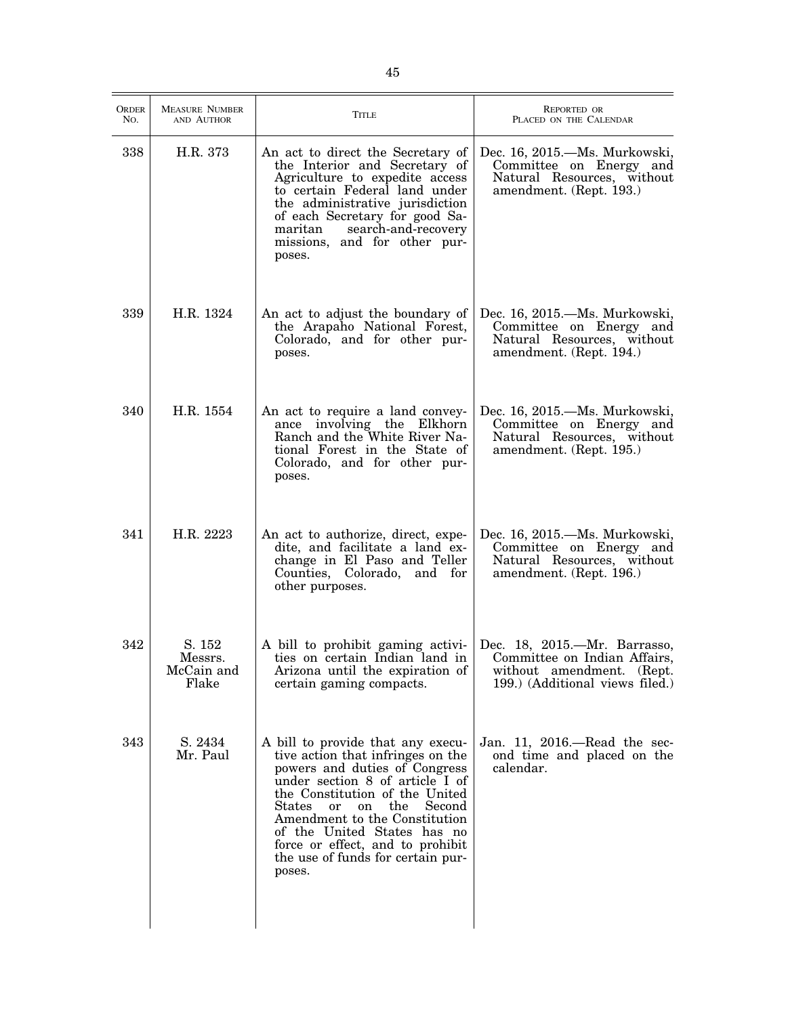| <b>ORDER</b><br>No. | <b>MEASURE NUMBER</b><br>AND AUTHOR      | <b>TITLE</b>                                                                                                                                                                                                                                                                                                                                                                      | <b>REPORTED OR</b><br>PLACED ON THE CALENDAR                                                                                 |
|---------------------|------------------------------------------|-----------------------------------------------------------------------------------------------------------------------------------------------------------------------------------------------------------------------------------------------------------------------------------------------------------------------------------------------------------------------------------|------------------------------------------------------------------------------------------------------------------------------|
| 338                 | H.R. 373                                 | An act to direct the Secretary of<br>the Interior and Secretary of<br>Agriculture to expedite access<br>to certain Federal land under<br>the administrative jurisdiction<br>of each Secretary for good Sa-<br>search-and-recovery<br>maritan<br>missions, and for other pur-<br>poses.                                                                                            | Dec. 16, 2015.—Ms. Murkowski,<br>Committee on Energy and<br>Natural Resources, without<br>amendment. (Rept. 193.)            |
| 339                 | H.R. 1324                                | An act to adjust the boundary of<br>the Arapaho National Forest,<br>Colorado, and for other pur-<br>poses.                                                                                                                                                                                                                                                                        | Dec. 16, 2015.—Ms. Murkowski,<br>Committee on Energy and<br>Natural Resources, without<br>amendment. (Rept. 194.)            |
| 340                 | H.R. 1554                                | An act to require a land convey-<br>ance involving the Elkhorn<br>Ranch and the White River Na-<br>tional Forest in the State of<br>Colorado, and for other pur-<br>poses.                                                                                                                                                                                                        | Dec. 16, 2015.—Ms. Murkowski,<br>Committee on Energy and<br>Natural Resources, without<br>amendment. (Rept. 195.)            |
| 341                 | H.R. 2223                                | An act to authorize, direct, expe-<br>dite, and facilitate a land ex-<br>change in El Paso and Teller<br>Counties, Colorado, and for<br>other purposes.                                                                                                                                                                                                                           | Dec. 16, 2015. Ms. Murkowski,<br>Committee on Energy and<br>Natural Resources, without<br>amendment. (Rept. 196.)            |
| 342                 | S. 152<br>Messrs.<br>McCain and<br>Flake | A bill to prohibit gaming activi-<br>ties on certain Indian land in<br>Arizona until the expiration of<br>certain gaming compacts.                                                                                                                                                                                                                                                | Dec. 18, 2015.—Mr. Barrasso,<br>Committee on Indian Affairs,<br>without amendment. (Rept.<br>199.) (Additional views filed.) |
| 343                 | S. 2434<br>Mr. Paul                      | A bill to provide that any execu-<br>tive action that infringes on the<br>powers and duties of Congress<br>under section 8 of article I of<br>the Constitution of the United<br>Second<br>the<br>States<br><sub>or</sub><br>on<br>Amendment to the Constitution<br>of the United States has no<br>force or effect, and to prohibit<br>the use of funds for certain pur-<br>poses. | Jan. 11, 2016.—Read the sec-<br>ond time and placed on the<br>calendar.                                                      |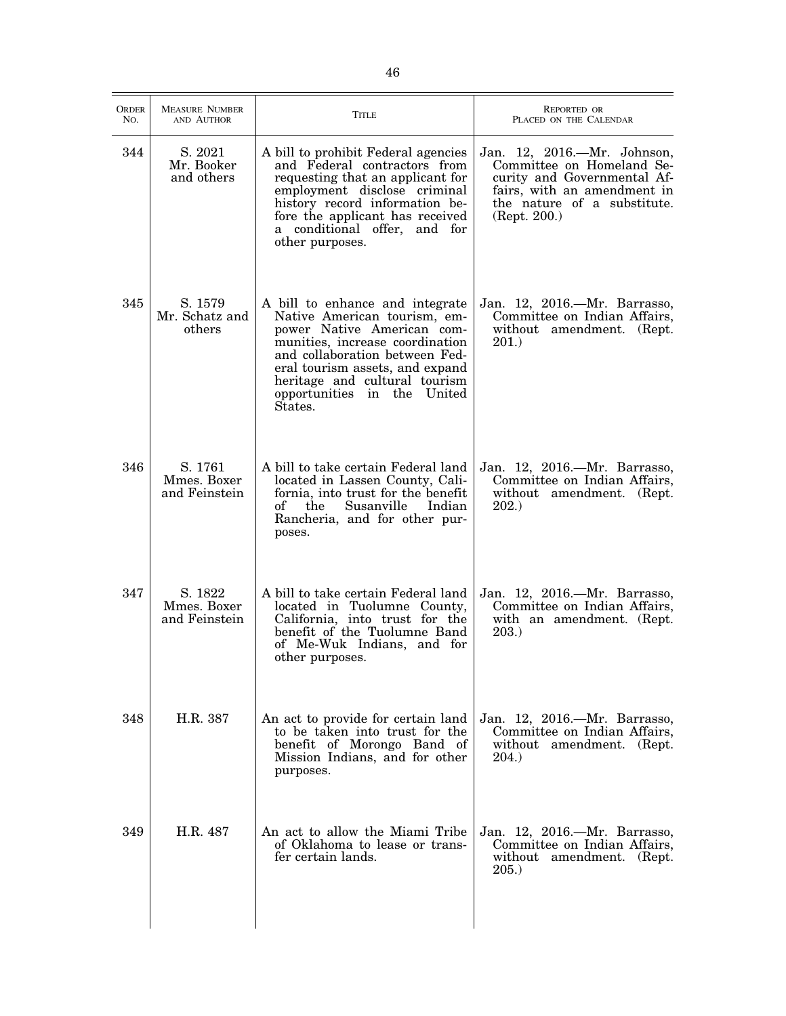| <b>ORDER</b><br>No. | <b>MEASURE NUMBER</b><br>AND AUTHOR     | <b>TITLE</b>                                                                                                                                                                                                                                                                     | <b>REPORTED OR</b><br>PLACED ON THE CALENDAR                                                                                                                          |
|---------------------|-----------------------------------------|----------------------------------------------------------------------------------------------------------------------------------------------------------------------------------------------------------------------------------------------------------------------------------|-----------------------------------------------------------------------------------------------------------------------------------------------------------------------|
| 344                 | S. 2021<br>Mr. Booker<br>and others     | A bill to prohibit Federal agencies<br>and Federal contractors from<br>requesting that an applicant for<br>employment disclose criminal<br>history record information be-<br>fore the applicant has received<br>a conditional offer, and for<br>other purposes.                  | Jan. 12, 2016.—Mr. Johnson,<br>Committee on Homeland Se-<br>curity and Governmental Af-<br>fairs, with an amendment in<br>the nature of a substitute.<br>(Rept. 200.) |
| 345                 | S. 1579<br>Mr. Schatz and<br>others     | A bill to enhance and integrate<br>Native American tourism, em-<br>power Native American com-<br>munities, increase coordination<br>and collaboration between Fed-<br>eral tourism assets, and expand<br>heritage and cultural tourism<br>opportunities in the United<br>States. | Jan. 12, 2016.—Mr. Barrasso,<br>Committee on Indian Affairs,<br>without amendment. (Rept.<br>$201.$ )                                                                 |
| 346                 | S. 1761<br>Mmes. Boxer<br>and Feinstein | A bill to take certain Federal land<br>located in Lassen County, Cali-<br>fornia, into trust for the benefit<br>Susanville<br>of<br>Indian<br>the<br>Rancheria, and for other pur-<br>poses.                                                                                     | Jan. 12, 2016.—Mr. Barrasso,<br>Committee on Indian Affairs,<br>without amendment. (Rept.<br>202.)                                                                    |
| 347                 | S. 1822<br>Mmes. Boxer<br>and Feinstein | A bill to take certain Federal land<br>located in Tuolumne County,<br>California, into trust for the<br>benefit of the Tuolumne Band<br>of Me-Wuk Indians, and for<br>other purposes.                                                                                            | Jan. 12, 2016.—Mr. Barrasso,<br>Committee on Indian Affairs,<br>with an amendment. (Rept.<br>203.)                                                                    |
| 348                 | H.R. 387                                | An act to provide for certain land<br>to be taken into trust for the<br>benefit of Morongo Band of<br>Mission Indians, and for other<br>purposes.                                                                                                                                | Jan. 12, 2016.—Mr. Barrasso,<br>Committee on Indian Affairs,<br>without amendment. (Rept.<br><b>204.</b> )                                                            |
| 349                 | H.R. 487                                | An act to allow the Miami Tribe<br>of Oklahoma to lease or trans-<br>fer certain lands.                                                                                                                                                                                          | Jan. 12, 2016.—Mr. Barrasso,<br>Committee on Indian Affairs,<br>without amendment. (Rept.<br>205.                                                                     |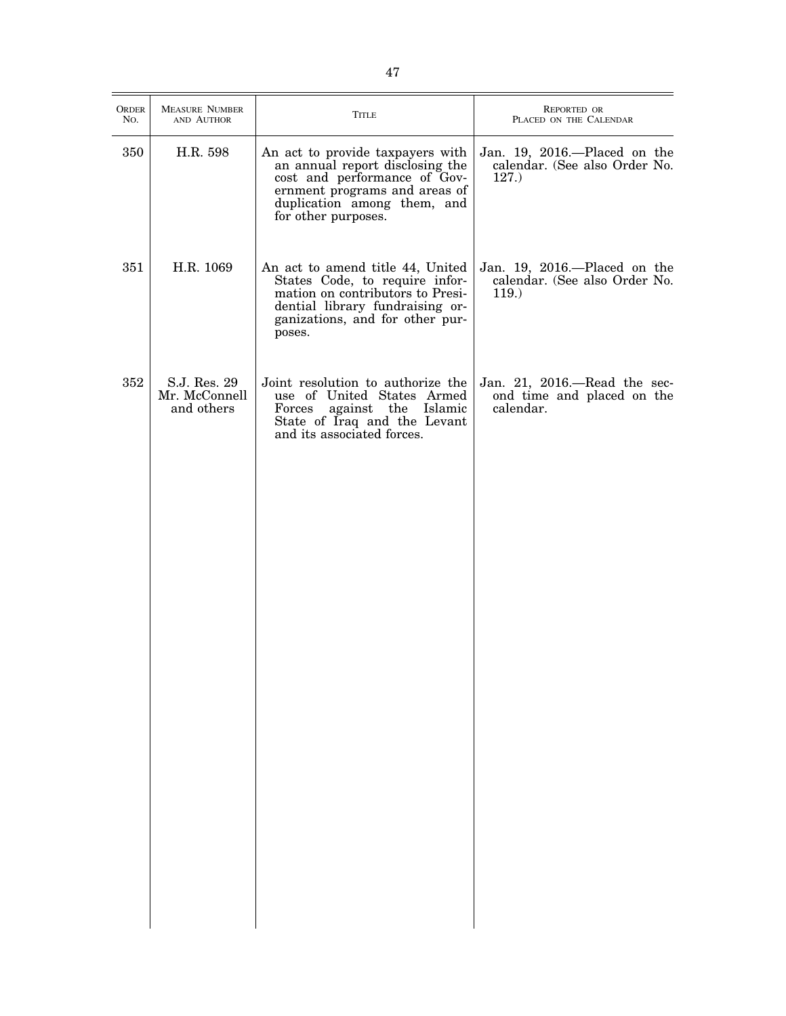| <b>ORDER</b><br>No. | <b>MEASURE NUMBER</b><br>AND AUTHOR         | TITLE                                                                                                                                                                                      | REPORTED OR<br>PLACED ON THE CALENDAR                                     |
|---------------------|---------------------------------------------|--------------------------------------------------------------------------------------------------------------------------------------------------------------------------------------------|---------------------------------------------------------------------------|
| 350                 | H.R. 598                                    | An act to provide taxpayers with<br>an annual report disclosing the<br>cost and performance of Gov-<br>ernment programs and areas of<br>duplication among them, and<br>for other purposes. | Jan. 19, 2016.—Placed on the<br>calendar. (See also Order No.<br>127.     |
| 351                 | H.R. 1069                                   | An act to amend title 44, United<br>States Code, to require infor-<br>mation on contributors to Presi-<br>dential library fundraising or-<br>ganizations, and for other pur-<br>poses.     | Jan. 19, 2016.—Placed on the<br>calendar. (See also Order No.<br>$119.$ ) |
| 352                 | S.J. Res. 29<br>Mr. McConnell<br>and others | Joint resolution to authorize the<br>use of United States Armed<br>against the Islamic<br>Forces<br>State of Iraq and the Levant<br>and its associated forces.                             | Jan. 21, 2016.—Read the sec-<br>ond time and placed on the<br>calendar.   |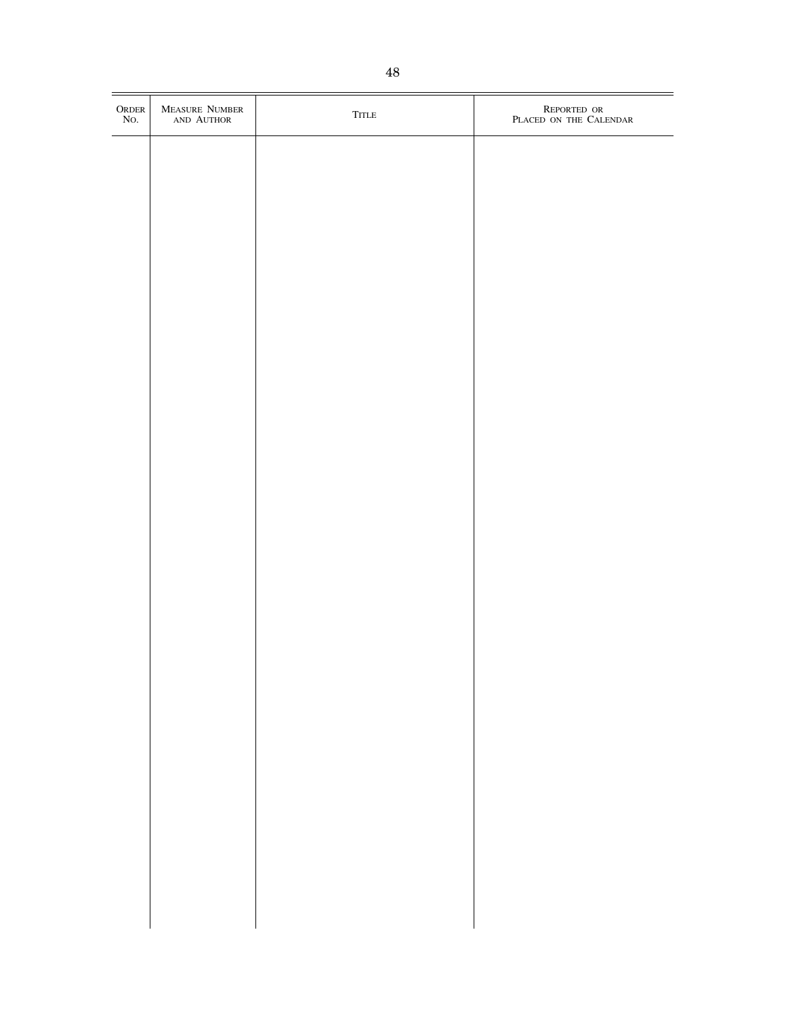| $\begin{array}{c} {\rm ORDER}\\ {\rm No}. \end{array}$ | MEASURE NUMBER<br>AND AUTHOR | ${\sf TITLE}$ | $\begin{matrix} \end{matrix} \begin{matrix} \end{matrix} \begin{matrix} \end{matrix} \begin{matrix} \end{matrix} \begin{matrix} \end{matrix} \begin{matrix} \end{matrix} \end{matrix} \begin{matrix} \end{matrix} \begin{matrix} \end{matrix} \begin{matrix} \end{matrix} \end{matrix} \begin{matrix} \end{matrix} \begin{matrix} \end{matrix} \end{matrix}$ |
|--------------------------------------------------------|------------------------------|---------------|--------------------------------------------------------------------------------------------------------------------------------------------------------------------------------------------------------------------------------------------------------------------------------------------------------------------------------------------------------------|
|                                                        |                              |               |                                                                                                                                                                                                                                                                                                                                                              |
|                                                        |                              |               |                                                                                                                                                                                                                                                                                                                                                              |
|                                                        |                              |               |                                                                                                                                                                                                                                                                                                                                                              |
|                                                        |                              |               |                                                                                                                                                                                                                                                                                                                                                              |
|                                                        |                              |               |                                                                                                                                                                                                                                                                                                                                                              |
|                                                        |                              |               |                                                                                                                                                                                                                                                                                                                                                              |
|                                                        |                              |               |                                                                                                                                                                                                                                                                                                                                                              |
|                                                        |                              |               |                                                                                                                                                                                                                                                                                                                                                              |
|                                                        |                              |               |                                                                                                                                                                                                                                                                                                                                                              |
|                                                        |                              |               |                                                                                                                                                                                                                                                                                                                                                              |
|                                                        |                              |               |                                                                                                                                                                                                                                                                                                                                                              |
|                                                        |                              |               |                                                                                                                                                                                                                                                                                                                                                              |
|                                                        |                              |               |                                                                                                                                                                                                                                                                                                                                                              |
|                                                        |                              |               |                                                                                                                                                                                                                                                                                                                                                              |
|                                                        |                              |               |                                                                                                                                                                                                                                                                                                                                                              |
|                                                        |                              |               |                                                                                                                                                                                                                                                                                                                                                              |
|                                                        |                              |               |                                                                                                                                                                                                                                                                                                                                                              |
|                                                        |                              |               |                                                                                                                                                                                                                                                                                                                                                              |
|                                                        |                              |               |                                                                                                                                                                                                                                                                                                                                                              |